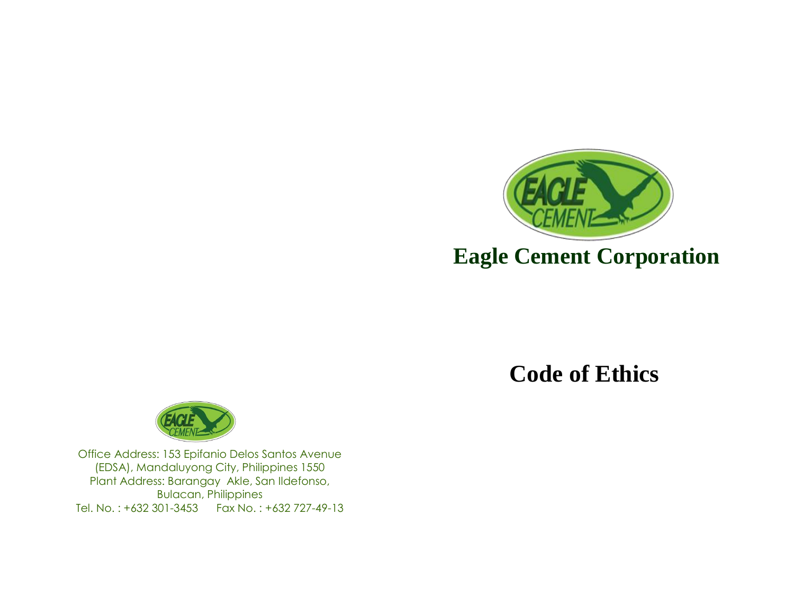

# **Code of Ethics**



Office Address: 153 Epifanio Delos Santos Avenue (EDSA), Mandaluyong City, Philippines 1550 Plant Address: Barangay Akle, San Ildefonso, Bulacan, Philippines Tel. No. : +632 301-3453 Fax No. : +632 727-49-13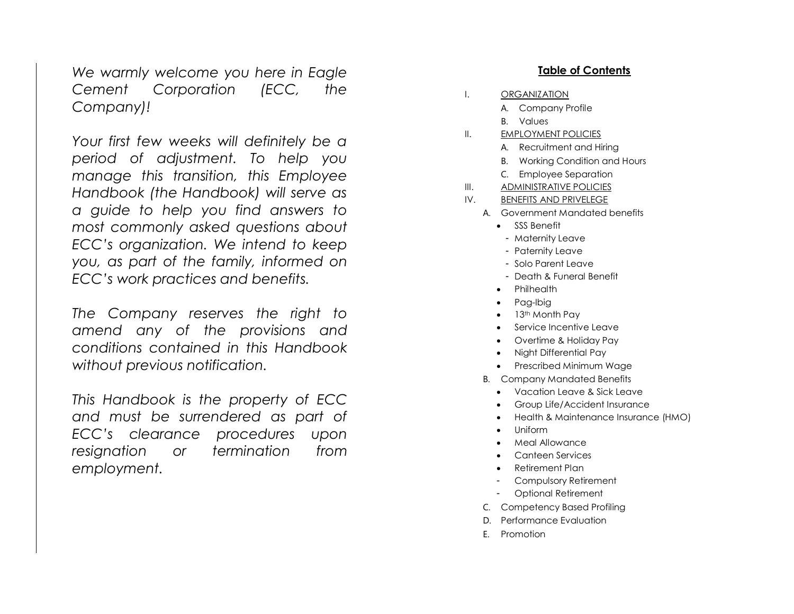*We warmly welcome you here in Eagle Cement Corporation (ECC, the Company)!*

*Your first few weeks will definitely be a period of adjustment. To help you manage this transition, this Employee Handbook (the Handbook) will serve as a guide to help you find answers to most commonly asked questions about ECC's organization. We intend to keep you, as part of the family, informed on ECC's work practices and benefits.*

*The Company reserves the right to amend any of the provisions and conditions contained in this Handbook without previous notification.*

*This Handbook is the property of ECC and must be surrendered as part of ECC's clearance procedures upon resignation or termination from employment.*

#### **Table of Contents**

- I. ORGANIZATION
	- A. Company Profile
	- B. Values
- II. EMPLOYMENT POLICIES
	- A. Recruitment and Hiring
	- B. Working Condition and Hours
	- C. Employee Separation
- III. ADMINISTRATIVE POLICIES
- IV. BENEFITS AND PRIVELEGE
	- A. Government Mandated benefits
		- SSS Benefit
			- Maternity Leave
			- Paternity Leave
			- Solo Parent Leave
			- Death & Funeral Benefit
		- Philhealth
		- Pag-Ibig
		- $\bullet$  13<sup>th</sup> Month Pay
		- Service Incentive Leave
		- Overtime & Holiday Pay
		- Night Differential Pay
		- Prescribed Minimum Wage
	- B. Company M andated Benefits
		- Vacation Leave & Sick Leave
		- Group Life/Accident Insurance
		- Health & Maintenance Insurance (HMO)
		- Uniform
		- Meal Allowance
		- Canteen Services
		- Retirement Plan
		- Compulsory Retirement
		- Optional Retirement
	- C. Competency Based Profiling
	- D. Performance Evaluation
	- E. Promotion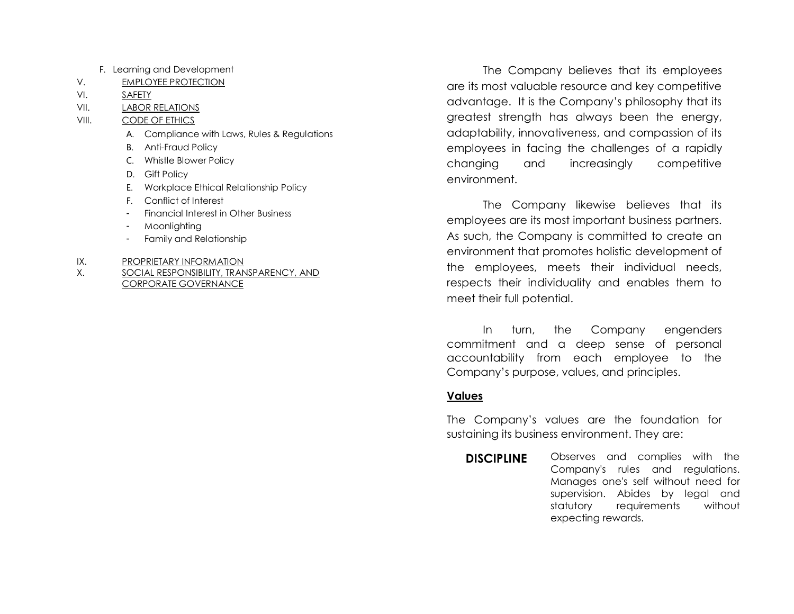- F. Learning and Development
- V. EMPLOYEE PROTECTION
- VI. SAFETY
- VII. LABOR RELATIONS

VIII. CODE OF ETHICS

- A. Compliance with Laws, Rules & Regulations
- B. Anti-Fraud Policy
- C. Whistle Blower Policy
- D. Gift Policy
- E. Workplace Ethical Relationship Policy
- F. Conflict of Interest
- Financial Interest in Other Business
- **Moonlighting**
- Family and Relationship
- IX. PROPRIETARY INFORMATION
- X. SOCIAL RESPONSIBILITY, TRANSPARENCY, AND CORPORATE GOVERNANCE

The Company believes that its employees are its most valuable resource and key competitive advantage. It is the Company's philosophy that its greatest strength has always been the energy, adaptability, innovativeness, and compassion of its employees in facing the challenges of a rapidly changing and increasingly competitive environment.

The Company likewise believes that its employees are its most important business partners. As such, the Company is committed to create an environment that promotes holistic development of the employees, meets their individual needs, respects their individuality and enables them to meet their full potential.

In turn, the Company engenders commitment and a deep sense of personal accountability from each employee to the Company's purpose, values, and principles.

# **Values**

The Company's values are the foundation for sustaining its business environment. They are:

**DISCIPLINE** Observes and complies with the Company's rules and regulations. Manages one's self without need for supervision. Abides by legal and statutory requirements without expecting rewards.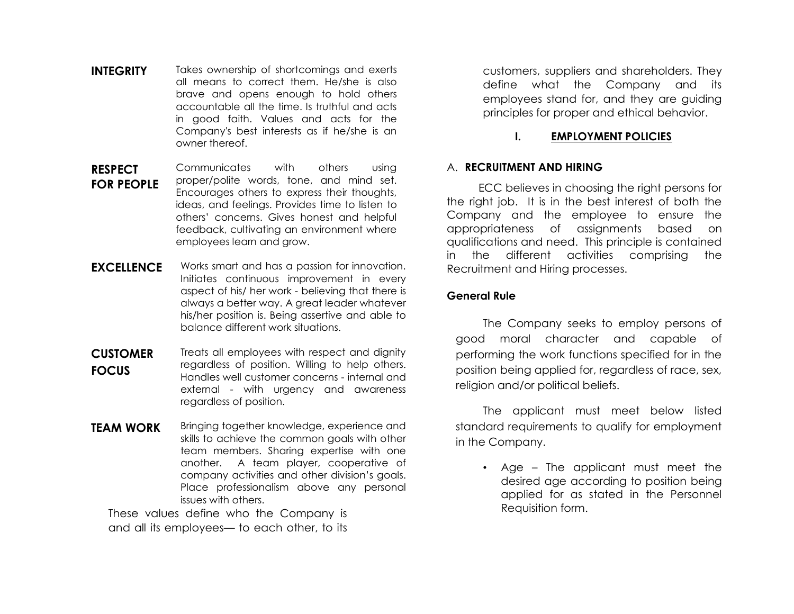- **INTEGRITY** Takes ownership of shortcomings and exerts all means to correct them. He/she is also brave and opens enough to hold others accountable all the time. Is truthful and acts in good faith. Values and acts for the Company's best interests as if he/she is an owner thereof.
- **RESPECT FOR PEOPLE** Communicates with others using proper/polite words, tone, and mind set. Encourages others to express their thoughts, ideas, and feelings. Provides time to listen to others' concerns. Gives honest and helpful feedback, cultivating an environment where employees learn and grow.
- **EXCELLENCE** Works smart and has a passion for innovation. Initiates continuous improvement in every aspect of his/ her work - believing that there is always a better way. A great leader whatever his/her position is. Being assertive and able to balance different work situations.
- **CUSTOMER FOCUS** Treats all employees with respect and dignity regardless of position. Willing to help others. Handles well customer concerns - internal and external - with urgency and awareness regardless of position.
- **TEAM WORK** Bringing together knowledge, experience and skills to achieve the common goals with other team members. Sharing expertise with one another. A team player, cooperative of company activities and other division's goals. Place professionalism above any personal issues with others.

These values define who the Company is and all its employees— to each other, to its customers, suppliers and shareholders. They define what the Company and its employees stand for, and they are guiding principles for proper and ethical behavior.

#### **I. EMPLOYMENT POLICIES**

#### A. **RECRUITMENT AND HIRING**

ECC believes in choosing the right persons for the right job. It is in the best interest of both the Company and the employee to ensure the appropriateness of assignments based on qualifications and need. This principle is contained in the different activities comprising the Recruitment and Hiring processes.

#### **General Rule**

The Company seeks to employ persons of good moral character and capable of performing the work functions specified for in the position being applied for, regardless of race, sex, religion and/or political beliefs.

 The applicant must meet below listed standard requirements to qualify for employment in the Company.

• Age – The applicant must meet the desired age according to position being applied for as stated in the Personnel Requisition form.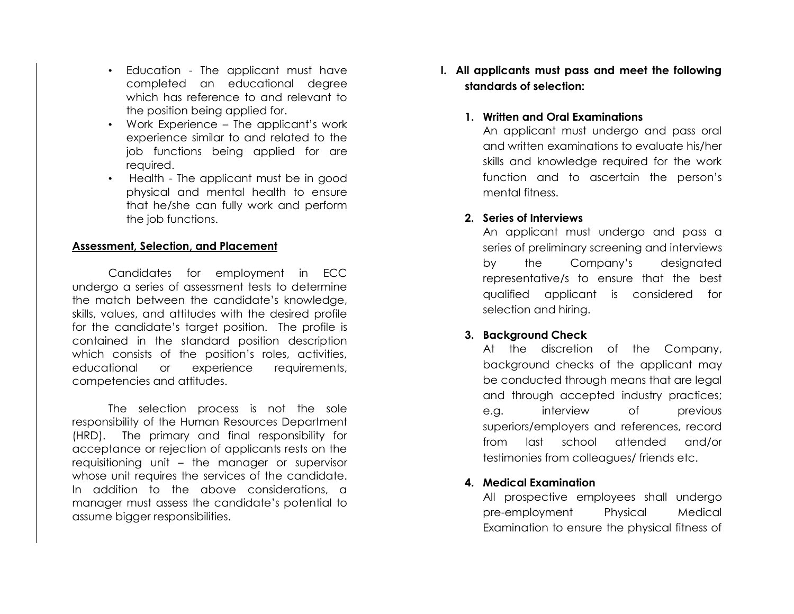- Education The applicant must have completed an educational degree which has reference to and relevant to the position being applied for.
- Work Experience The applicant's work experience similar to and related to the job functions being applied for are required.
- Health The applicant must be in good physical and mental health to ensure that he/she can fully work and perform the job functions.

#### **Assessment, Selection, and Placement**

Candidates for employment in ECC undergo a series of assessment tests to determine the match between the candidate's knowledge, skills, values, and attitudes with the desired profile for the candidate's target position. The profile is contained in the standard position description which consists of the position's roles, activities, educational or experience requirements, competencies and attitudes.

The selection process is not the sole responsibility of the Human Resources Department (HRD). The primary and final responsibility for acceptance or rejection of applicants rests on the requisitioning unit – the manager or supervisor whose unit requires the services of the candidate. In addition to the above considerations, a manager must assess the candidate's potential to assume bigger responsibilities.

**I. All applicants must pass and meet the following standards of selection:**

#### **1. Written and Oral Examinations**

An applicant must undergo and pass oral and written examinations to evaluate his/her skills and knowledge required for the work function and to ascertain the person's mental fitness.

#### **2. Series of Interviews**

An applicant must undergo and pass a series of preliminary screening and interviews by the Company's designated representative/s to ensure that the best qualified applicant is considered for selection and hiring.

# **3. Background Check**

At the discretion of the Company, background checks of the applicant may be conducted through means that are legal and through accepted industry practices; e.g. interview of previous superiors/employers and references, record from last school attended and/or testimonies from colleagues/ friends etc.

# **4. Medical Examination**

All prospective employees shall undergo pre-employment Physical Medical Examination to ensure the physical fitness of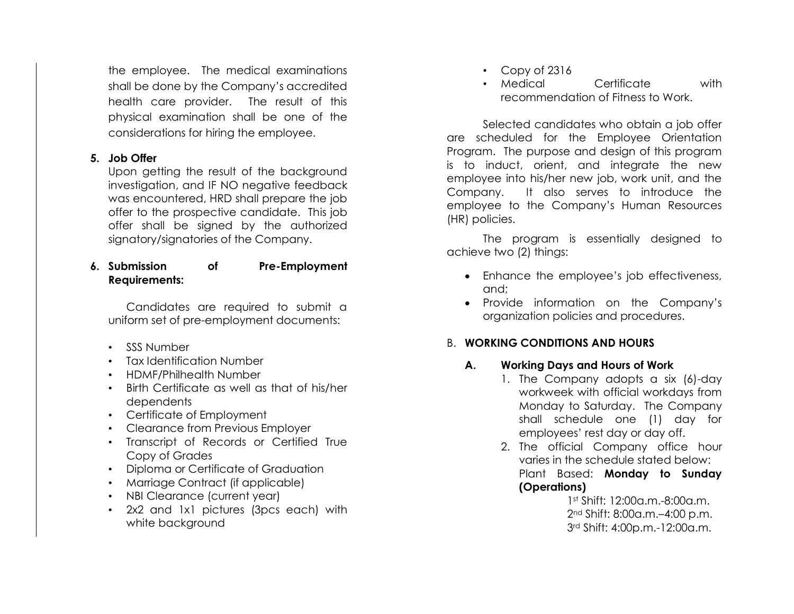the employee. The medical examinations shall be done by the Company's accredited health care provider. The result of this physical examination shall be one of the considerations for hiring the employee.

# **5. Job Offer**

Upon getting the result of the background investigation, and IF NO negative feedback was encountered, HRD shall prepare the job offer to the prospective candidate. This job offer shall be signed by the authorized signatory/signatories of the Company.

# **6. Submission of Pre-Employment Requirements:**

Candidates are required to submit a uniform set of pre-employment documents:

- SSS Number
- Tax Identification Number
- HDMF/Philhealth Number
- Birth Certificate as well as that of his/her dependents
- Certificate of Employment
- Clearance from Previous Employer
- Transcript of Records or Certified True Copy of Grades
- Diploma or Certificate of Graduation
- Marriage Contract (if applicable)
- NBI Clearance (current year)
- 2x2 and 1x1 pictures (3pcs each) with white background
- Copy of 2316
- Medical Certificate with recommendation of Fitness to Work.

Selected candidates who obtain a job offer are scheduled for the Employee Orientation Program. The purpose and design of this program is to induct, orient, and integrate the new employee into his/her new job, work unit, and the Company. It also serves to introduce the employee to the Company's Human Resources (HR) policies.

The program is essentially designed to achieve two (2) things:

- Enhance the employee's job effectiveness, and;
- Provide information on the Company's organization policies and procedures.

# B. **WORKING CONDITIONS AND HOURS**

# **A. Working Days and Hours of Work**

- 1. The Company adopts a six (6)-day workweek with official workdays from Monday to Saturday. The Company shall schedule one (1) day for employees' rest day or day off.
- 2. The official Company office hour varies in the schedule stated below: Plant Based: **Monday to Sunday (Operations)**

 1st Shift: 12:00a.m.-8:00a.m. 2nd Shift: 8:00a.m.–4:00 p.m. 3rd Shift: 4:00p.m.-12:00a.m.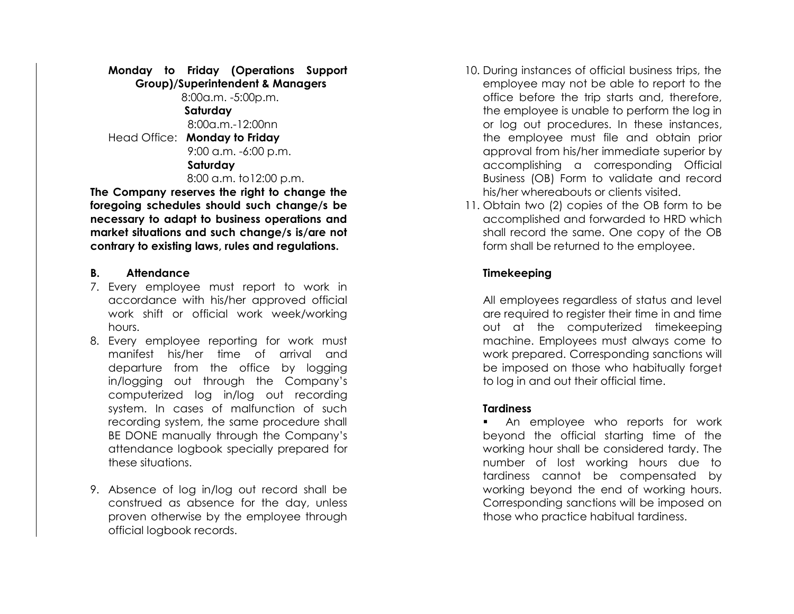# **Monday to Friday (Operations Support Group)/Superintendent & Managers**

8:00a.m. -5:00p.m.  **Saturday** 8:00a.m.-12:00nn Head Office: **Monday to Friday** 9:00 a.m. -6:00 p.m. **Saturday** 8:00 a.m. to12:00 p.m.

**The Company reserves the right to change the foregoing schedules should such change/s be necessary to adapt to business operations and market situations and such change/s is/are not contrary to existing laws, rules and regulations.**

#### **B. Attendance**

- 7. Every employee must report to work in accordance with his/her approved official work shift or official work week/working hours.
- 8. Every employee reporting for work must manifest his/her time of arrival and departure from the office by logging in/logging out through the Company's computerized log in/log out recording system. In cases of malfunction of such recording system, the same procedure shall BE DONE manually through the Company's attendance logbook specially prepared for these situations.
- 9. Absence of log in/log out record shall be construed as absence for the day, unless proven otherwise by the employee through official logbook records.
- 10. During instances of official business trips, the employee may not be able to report to the office before the trip starts and, therefore, the employee is unable to perform the log in or log out procedures. In these instances, the employee must file and obtain prior approval from his/her immediate superior by accomplishing a corresponding Official Business (OB) Form to validate and record his/her whereabouts or clients visited.
- 11. Obtain two (2) copies of the OB form to be accomplished and forwarded to HRD which shall record the same. One copy of the OB form shall be returned to the employee.

# **Timekeeping**

All employees regardless of status and level are required to register their time in and time out at the computerized timekeeping machine. Employees must always come to work prepared. Corresponding sanctions will be imposed on those who habitually forget to log in and out their official time.

# **Tardiness**

■ An employee who reports for work beyond the official starting time of the working hour shall be considered tardy. The number of lost working hours due to tardiness cannot be compensated by working beyond the end of working hours. Corresponding sanctions will be imposed on those who practice habitual tardiness.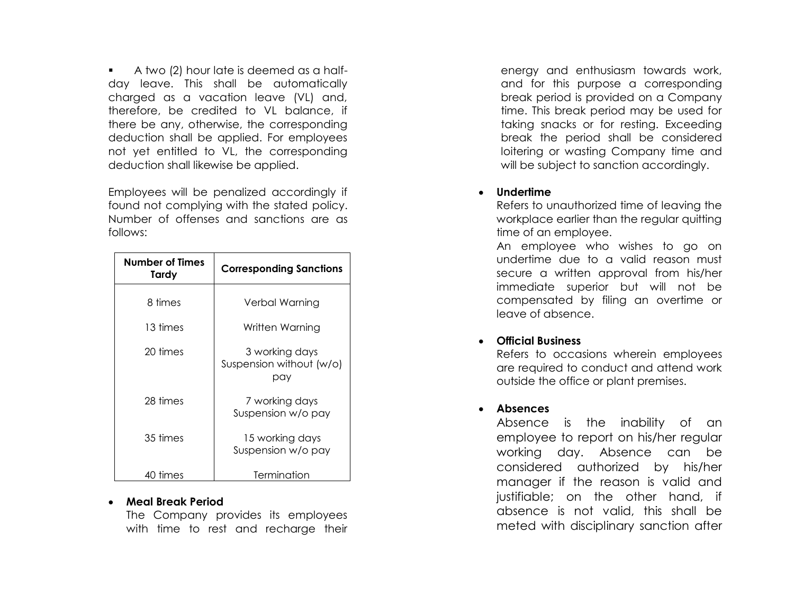■ A two (2) hour late is deemed as a halfday leave. This shall be automatically charged as a vacation leave (VL) and, therefore, be credited to VL balance, if there be any, otherwise, the corresponding deduction shall be applied. For employees not yet entitled to VL, the corresponding deduction shall likewise be applied.

Employees will be penalized accordingly if found not complying with the stated policy. Number of offenses and sanction s are as follows:

| Number of Times<br>Tardy | <b>Corresponding Sanctions</b>                    |  |  |
|--------------------------|---------------------------------------------------|--|--|
| 8 times                  | Verbal Warning                                    |  |  |
| 13 times                 | Written Warning                                   |  |  |
| 20 times                 | 3 working days<br>Suspension without (w/o)<br>pay |  |  |
| 28 times                 | 7 working days<br>Suspension w/o pay              |  |  |
| 35 times                 | 15 working days<br>Suspension w/o pay             |  |  |
| 40 times                 | Termination                                       |  |  |

#### • **Meal Break Period**

The Company provides its employees with time to rest and recharge their

energy and enthusiasm towards work, and for this purpose a corresponding break period is provided on a Company time. This break period may be used for taking snacks or for resting. Exceeding break the period shall be considered loitering or wasting Company time and will be subject to sanction accordingly.

#### • **Undertime**

Refers to unauthorized time of leaving the workplace earlier than the regular quitting time of an employee.

An employee who wishes to go on undertime due to a valid reason must secure a written approval from his/her immediate superior but will not be compensated by filing an overtime or leave of absence.

# • **Official Business**

Refers to occasions wherein employees are required to conduct and attend work outside the office or plant premises.

# • **Absences**

Absence is the inability of an employee to report on his/her regular working day. Absence can be considered authorized by his/her manager if the reason is valid and justifiable; on the other hand, if absence is not valid, this shall be meted with disciplinary sanction after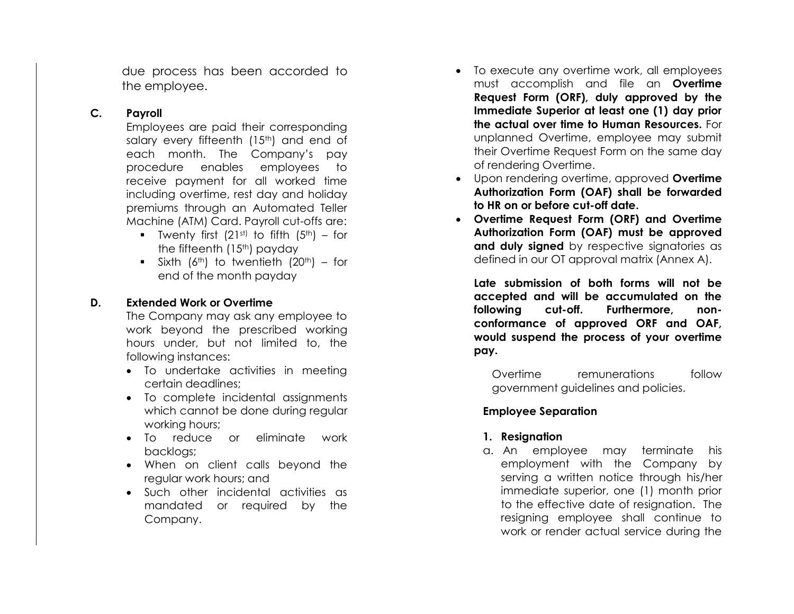due process has been accorded to the employee.

# **C. Payrol l**

Employees are paid their corresponding salary every fifteenth (15<sup>th</sup>) and end of each month. The Company's pay procedure enables employees to receive payment for all worked time including overtime, rest day and holiday premiums through an Automated Teller Machine (ATM) Card. Payroll cut -offs are:

- **•** Twenty first (21st) to fifth (5<sup>th</sup>) for the fifteenth  $(15<sup>th</sup>)$  payday
- **•** Sixth (6<sup>th</sup>) to twentieth (20<sup>th</sup>) for end of the month payday

# **D. Extended Work or Overtime**

The Company may ask any employee to work beyond the prescribed working hours under, but not limited to, the following instances:

- To undertake activities in meeting certain deadlines;
- To complete incidental assignments which cannot be done during regular working hours;
- To reduce or eliminate work backlogs;
- When on client calls beyond the regular work hours; and
- Such other incidental activities as mandated or required by the Company.
- To execute any overtime work, all employees must accomplish and file an **Overtime Request Form (ORF), duly approved by the Immediate Superior at least one (1) day prior the actual over time to Human Resources.** For unplanned Overtime, employee may submit their Overtime Request Form on the same day of rendering Overtime.
- Upon rendering overtime, approved **Overtime Authorization Form (OAF) shall be forwarded to HR on or before cut -off date.**
- **Overtime Request Form (ORF) and Overtime Authorization Form (OAF) must be approved and duly signed** by respective signatories as defined in our OT approval matrix (Annex A).

**Late submission of both forms will not be accepted and will be accumulated on the following cut Furthermore, conformance of approved ORF and OAF, would suspend the process of your overtime pay.**

Overtime remunerations follow government guidelines and policies.

# **Employee Separatio n**

# **1. Resignation**

a. An employee may terminate his employment with the Company by serving a written notice through his/her immediate superior, one (1) month prior to the effective date of resignation. The resigning employee shall continue to work or render actual service during the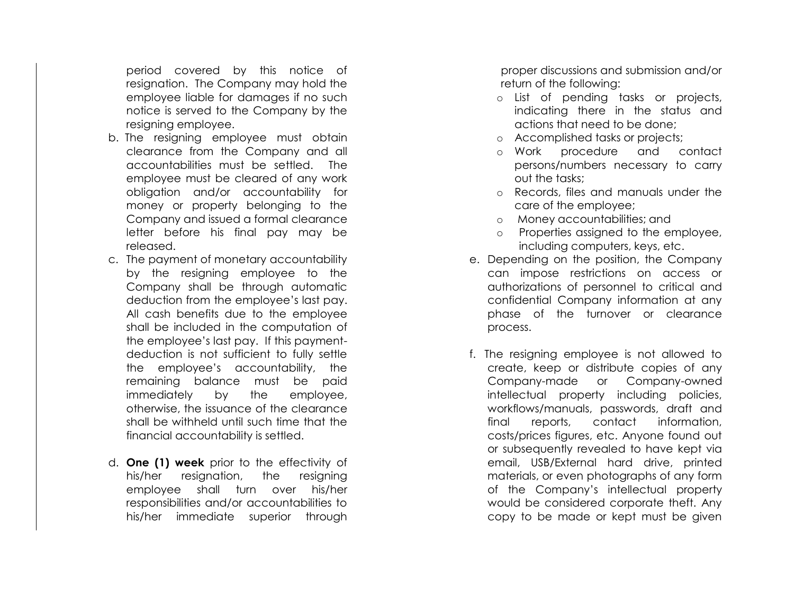period covered by this notice of resignation. The Company may hold the employee liable for damages if no such notice is served to the Company by the resigning employee.

- b. The resigning employee must obtain clearance from the Company and all accountabilities must be settled. The employee must be cleared of any work obligation and/or accountability for money or property belonging to the Company and issued a formal clearance letter before his final pay may be released.
- c. The payment of monetary accountability by the resigning employee to the Company shall be through automatic deduction from the employee's last pay. All cash benefits due to the employee shall be included in the computation of the employee's last pay. If this paymentdeduction is not sufficient to fully settle the employee's accountability, the remaining balance must be paid immediately by the employee, otherwise, the issuance of the clearance shall be withheld until such time that the financial accountability is settled.
- d. **One (1) week** prior to the effectivity of his/her resignation, the resigning employee shall turn over his/her responsibilities and/or accountabilities to his/her immediate superior through

proper discussions and submission and/or return of the following:

- o List of pending tasks or projects, indicating there in the status and actions that need to be done;
- o Accomplished tasks or projects;
- o Work procedure and contact persons/numbers necessary to carry out the tasks;
- o Records, files and manuals under the care of the employee;
- o Money accountabilities; and
- o Properties assigned to the employee, including computers, keys, etc.
- e. Depending on the position, the Company can impose restrictions on access or authorizations of personnel to critical and confidential Company information at any phase of the turnover or clearance process.
- f. The resigning employee is not allowed to create, keep or distribute copies of any Company-made or Company-owned intellectual property including policies, workflows/manuals, passwords, draft and final reports, contact information, costs/prices figures, etc. Anyone found out or subsequently revealed to have kept via email, USB/External hard drive, printed materials, or even photographs of any form of the Company's intellectual property would be considered corporate theft. Any copy to be made or kept must be given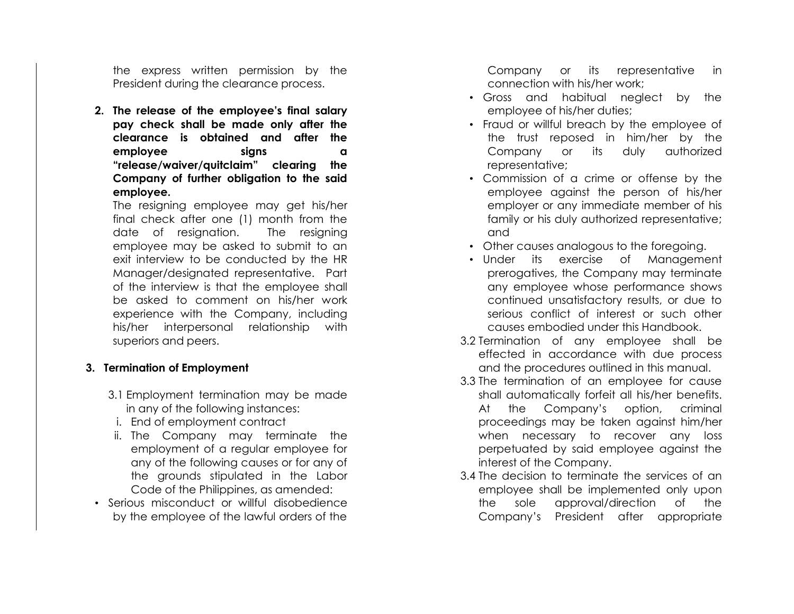the express written permission by the President during the clearance process.

**2. The release of the employee's final salary pay check shall be made only after the clearance is obtained and after the employee signs a "release/waiver/quitclaim" clearing the Company of further obligation to the said employee.**

The resigning employee may get his/her final check after one (1) month from the date of resignation. The resigning employee may be asked to submit to an exit interview to be conducted by the HR Manager/designated representative. Part of the interview is that the employee shall be asked to comment on his/her work experience with the Company, including his/her interpersonal relationship with superiors and peers.

#### **3. Termination of Employment**

- 3.1 Employment termination may be made in any of the following instances:
- i. End of employment contract
- ii. The Company may terminate the employment of a regular employee for any of the following causes or for any of the grounds stipulated in the Labor Code of the Philippines, as amended:
- Serious misconduct or willful disobedience by the employee of the lawful orders of the

Company or its representative in connection with his/her work;

- Gross and habitual neglect by the employee of his/her duties;
- Fraud or willful breach by the employee of the trust reposed in him/her by the Company or its duly authorized representative;
- Commission of a crime or offense by the employee against the person of his/her employer or any immediate member of his family or his duly authorized representative; and
- Other causes analogous to the foregoing.
- Under its exercise of Management prerogatives, the Company may terminate any employee whose performance shows continued unsatisfactory results, or due to serious conflict of interest or such other causes embodied under this Handbook.
- 3.2 Termination of any employee shall be effected in accordance with due process and the procedures outlined in this manual.
- 3.3 The termination of an employee for cause shall automatically forfeit all his/her benefits. At the Company's option, criminal proceedings may be taken against him/her when necessary to recover any loss perpetuated by said employee against the interest of the Company.
- 3.4 The decision to terminate the services of an employee shall be implemented only upon the sole approval/direction of the Company's President after appropriate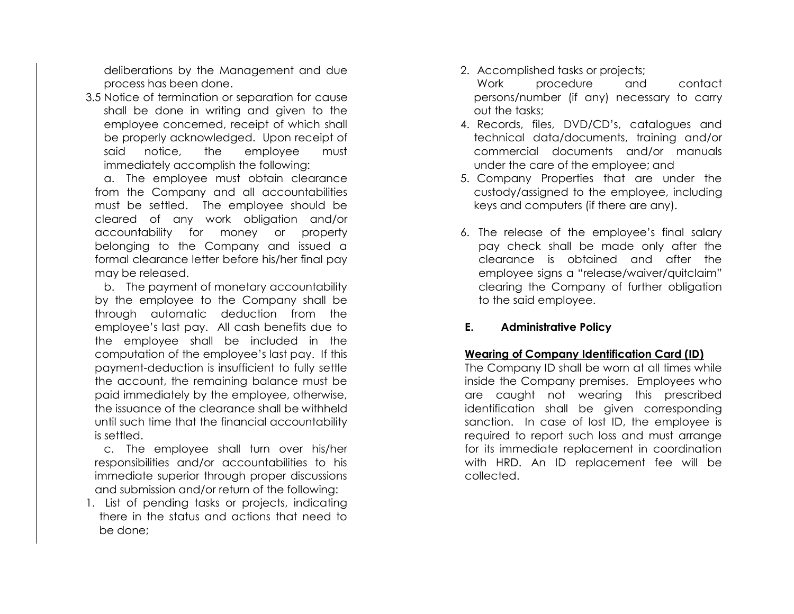deliberations by the Management and due process has been done.

3.5 Notice of termination or separation for cause shall be done in writing and given to the employee concerned, receipt of which shall be properly acknowledged. Upon receipt of said notice, the employee must immediately accomplish the following:

a. The employee must obtain clearance from the Company and all accountabilities must be settled. The employee should be cleared of any work obligation and/or accountability for money or property belonging to the Company and issued a formal clearance letter before his/her final pay may be released.

b. The payment of monetary accountability by the employee to the Company shall be through automatic deduction from the employee's last pay. All cash benefits due to the employee shall be included in the computation of the employee's last pay. If this payment-deduction is insufficient to fully settle the account, the remaining balance must be paid immediately by the employee, otherwise, the issuance of the clearance shall be withheld until such time that the financial accountability is settled.

c. The employee shall turn over his/her responsibilities and/or accountabilities to his immediate superior through proper discussions and submission and/or return of the following:

1. List of pending tasks or projects, indicating there in the status and actions that need to be done;

2. Accomplished tasks or projects;

Work procedure and contact persons/number (if any) necessary to carry out the tasks;

- 4. Records, files, DVD/CD's, catalogues and technical data/documents, training and/or commercial documents and/or manuals under the care of the employee; and
- 5. Company Properties that are under the custody/assigned to the employee, including keys and computers (if there are any).
- 6. The release of the employee's final salary pay check shall be made only after the clearance is obtained and after the employee signs a "release/waiver/quitclaim" clearing the Company of further obligation to the said employee.

# **E. Administrative Policy**

# **Wearing of Company Identification Card (ID)**

The Company ID shall be worn at all times while inside the Company premises. Employees who are caught not wearing this prescribed identification shall be given corresponding sanction. In case of lost ID, the employee is required to report such loss and must arrange for its immediate replacement in coordination with HRD. An ID replacement fee will be collected.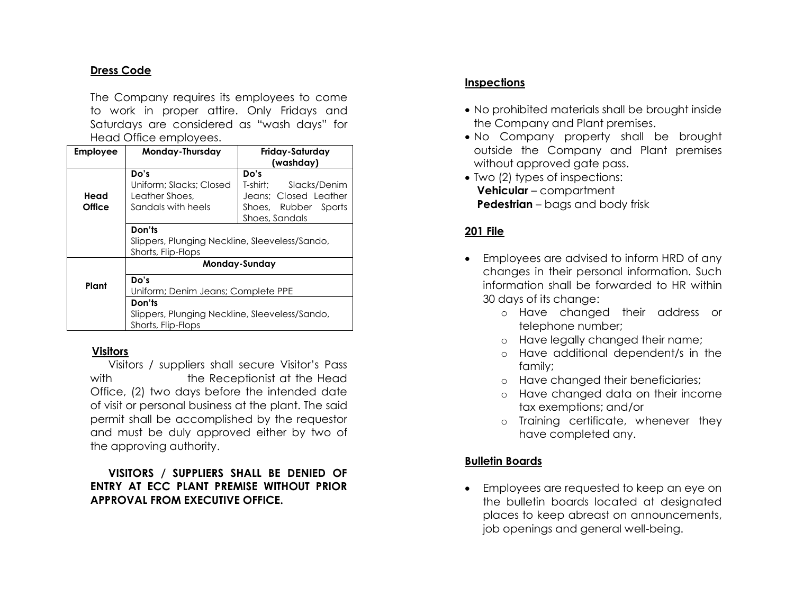# **Dress Code**

The Company requires its employees to come to work in proper attire. Only Fridays and Saturdays are considered as "wash days" for Head Office employees.

| <b>Employee</b> | Monday-Thursday                                                                | Friday-Saturday<br>(washday)                                                                        |  |  |
|-----------------|--------------------------------------------------------------------------------|-----------------------------------------------------------------------------------------------------|--|--|
| Head<br>Office  | Do's<br>Uniform; Slacks; Closed<br>Leather Shoes.<br>Sandals with heels        | Do's<br>T-shirt:<br>Slacks/Denim<br>Jeans: Closed Leather<br>Shoes, Rubber Sports<br>Shoes, Sandals |  |  |
|                 | Don'ts<br>Slippers, Plunging Neckline, Sleeveless/Sando,<br>Shorts, Flip-Flops |                                                                                                     |  |  |
|                 | Monday-Sunday                                                                  |                                                                                                     |  |  |
| Plant           | Do's<br>Uniform; Denim Jeans; Complete PPE                                     |                                                                                                     |  |  |
|                 | Don'ts<br>Slippers, Plunging Neckline, Sleeveless/Sando,<br>Shorts, Flip-Flops |                                                                                                     |  |  |

#### **Visitors**

Visitors / suppliers shall secure Visitor's Pass with the Receptionist at the Head Office, (2) two days before the intended date of visit or personal business at the plant. The said permit shall be accomplished by the requestor and must be duly approved either by two of the approving authority.

**VISITORS / SUPPLIERS SHALL BE DENIED OF ENTRY AT ECC PLANT PREMISE WITHOUT PRIOR APPROVAL FROM EXECUTIVE OFFICE.**

# **Inspections**

- No prohibited materials shall be brought inside the Company and Plant premises.
- No Company property shall be brought outside the Company and Plant premises without approved gate pass.
- Two (2) types of inspections:  **Vehicular** – compartment  **Pedestrian** – bags and body frisk

# **201 File**

- Employees are advised to inform HRD of any changes in their personal information. Such information shall be forwarded to HR within 30 days of its change:
	- o Have changed their address or telephone number;
	- o Have legally changed their name;
	- o Have additional dependent/s in the family;
	- o Have changed their beneficiaries;
	- o Have changed data on their income tax exemptions; and/or
	- o Training certificate, whenever they have completed any.

# **Bulletin Boards**

• Employees are requested to keep an eye on the bulletin boards located at designated places to keep abreast on announcements, job openings and general well-being.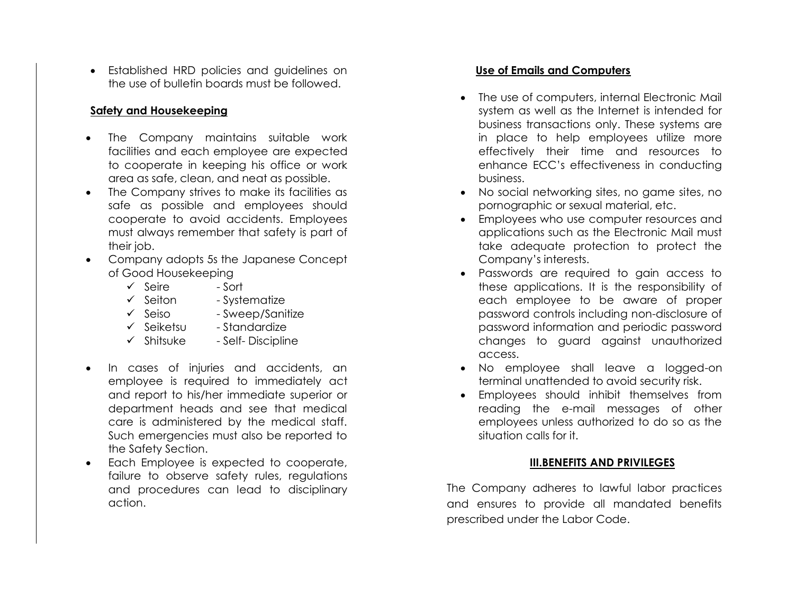• Established HRD policies and guidelines on the use of bulletin boards must be followed.

# **Safety and Housekeeping**

- The Company maintains suitable work facilities and each employee are expected to cooperate in keeping his office or work area as safe, clean, and neat as possible.
- The Company strives to make its facilities as safe as possible and employees should cooperate to avoid accidents. Employees must always remember that safety is part of their job.
- Company adopts 5s the Japanese Concept of Good Housekeeping
	- ✓ Seire Sort
	- ✓ Seiton Systematize
	- ✓ Seiso Sweep/Sanitize
	- ✓ Seiketsu Standardize
	- $\checkmark$  Shitsuke Self- Discipline
- In cases of injuries and accidents, an employee is required to immediately act and report to his/her immediate superior or department heads and see that medical care is administered by the medical staff. Such emergencies must also be reported to the Safety Section.
- Each Employee is expected to cooperate, failure to observe safety rules, regulations and procedures can lead to disciplinary action.

# **Use of Emails and Computers**

- The use of computers, internal Electronic Mail system as well as the Internet is intended for business transactions only. These systems are in place to help employees utilize more effectively their time and resources to enhance ECC's effectiveness in conducting business.
- No social networking sites, no game sites, no pornographic or sexual material, etc.
- Employees who use computer resources and applications such as the Electronic Mail must take adequate protection to protect the Company's interests.
- Passwords are required to gain access to these applications. It is the responsibility of each employee to be aware of proper password controls including non-disclosure of password information and periodic password changes to guard against unauthorized access.
- No employee shall leave a logged-on terminal unattended to avoid security risk.
- Employees should inhibit themselves from reading the e-mail messages of other employees unless authorized to do so as the situation calls for it.

# **III.BENEFITS AND PRIVILEGES**

The Company adheres to lawful labor practices and ensures to provide all mandated benefits prescribed under the Labor Code.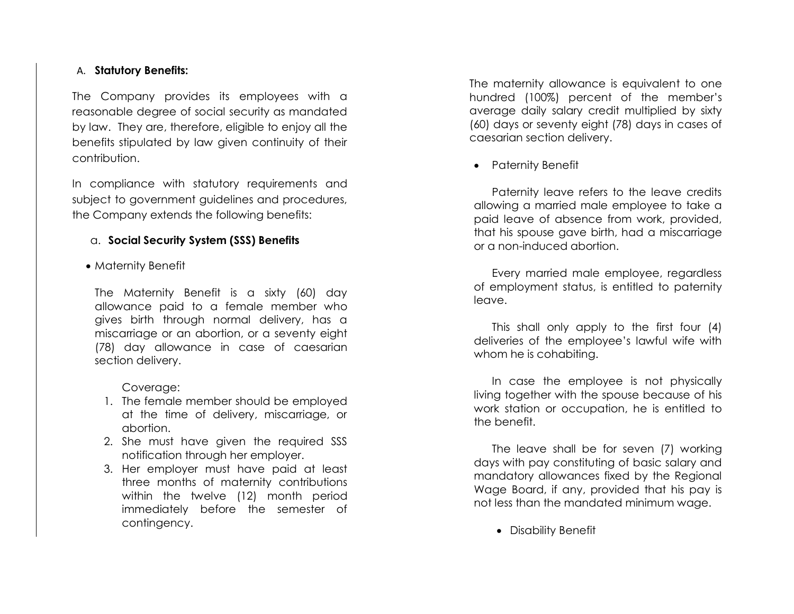#### A. **Statutory Benefits:**

The Company provides its employees with a reasonable degree of social security as mandated by law. They are, therefore, eligible to enjoy all the benefits stipulated by law given continuity of their contribution.

In compliance with statutory requirements and subject to government guidelines and procedures, the Company extends the following benefits:

# a. **Social Security System (SSS) Benefits**

• Maternity Benefit

 The Maternity Benefit is a sixty (60) day allowance paid to a female member who gives birth through normal delivery, has a miscarriage or an abortion, or a seventy eight (78) day allowance in case of caesarian section delivery.

# Coverage:

- 1. The female member should be employed at the time of delivery, miscarriage, or abortion.
- 2. She must have given the required SSS notification through her employer.
- 3. Her employer must have paid at least three months of maternity contributions within the twelve (12) month period immediately before the semester of contingency.

The maternity allowance is equivalent to one hundred (100%) percent of the member's average daily salary credit multiplied by sixty (60) days or seventy eight (78) days in cases of caesarian section delivery.

• Paternity Benefit

Paternity leave refers to the leave credits allowing a married male employee to take a paid leave of absence from work, provided, that his spouse gave birth, had a miscarriage or a non-induced abortion.

Every married male employee, regardless of employment status, is entitled to paternity leave.

This shall only apply to the first four (4) deliveries of the employee's lawful wife with whom he is cohabiting.

In case the employee is not physically living together with the spouse because of his work station or occupation, he is entitled to the benefit.

The leave shall be for seven (7) working days with pay constituting of basic salary and mandatory allowances fixed by the Regional Wage Board, if any, provided that his pay is not less than the mandated minimum wage.

• Disability Benefit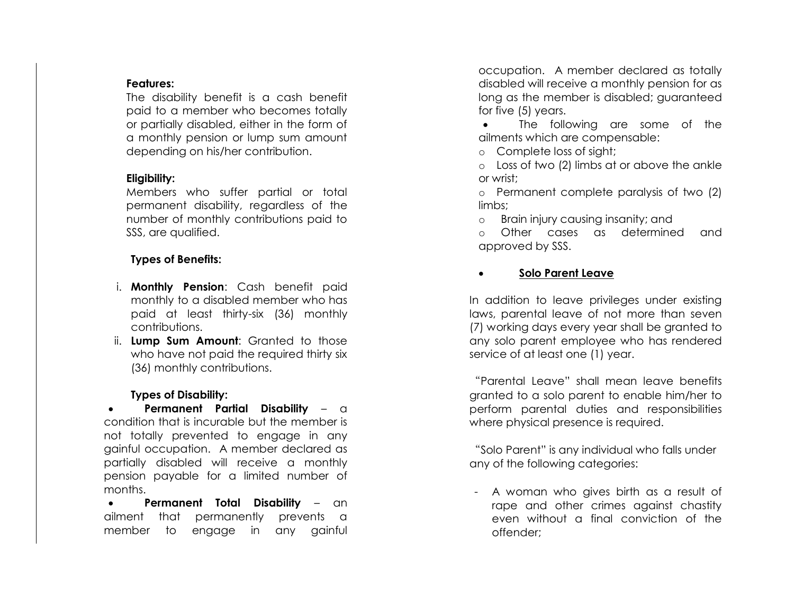#### **Features:**

The disability benefit is a cash benefit paid to a member who becomes totally or partially disabled, either in the form of a monthly pension or lump sum amount depending on his/her contribution.

# **Eligibility:**

Members who suffer partial or total permanent disability, regardless of the number of monthly contributions paid to SSS, are qualified.

# **Types of Benefits:**

- i. **Monthly Pension**: Cash benefit paid monthly to a disabled member who has paid at least thirty-six (36) monthly contributions.
- ii. **Lump Sum Amount**: Granted to those who have not paid the required thirty six (36) monthly contributions.

# **Types of Disability:**

• **Permanent Partial Disability** – a condition that is incurable but the member is not totally prevented to engage in any gainful occupation. A member declared as partially disabled will receive a monthly pension payable for a limited number of months.

• **Permanent Total Disability** – an ailment that permanently prevents a member to engage in any gainful

occupation. A member declared as totally disabled will receive a monthly pension for as long as the member is disabled; guaranteed for five (5) years.

The following are some of the ailments which are compensable:

o Complete loss of sight;

o Loss of two (2) limbs at or above the ankle or wrist;

o Permanent complete paralysis of two (2) limbs;

o Brain injury causing insanity; and

o Other cases as determined and approved by SSS.

# • **Solo Parent Leave**

In addition to leave privileges under existing laws, parental leave of not more than seven (7) working days every year shall be granted to any solo parent employee who has rendered service of at least one (1) year.

"Parental Leave" shall mean leave benefits granted to a solo parent to enable him/her to perform parental duties and responsibilities where physical presence is required.

"Solo Parent" is any individual who falls under any of the following categories:

- A woman who gives birth as a result of rape and other crimes against chastity even without a final conviction of the offender;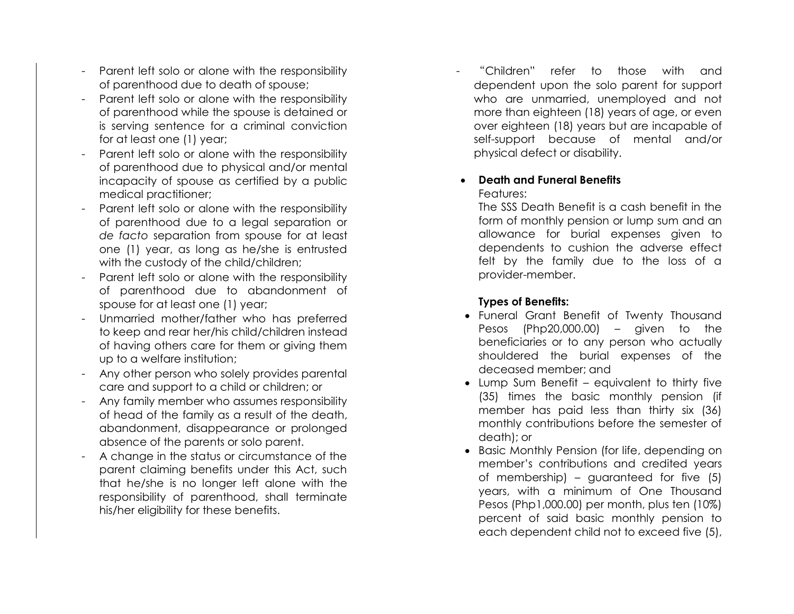- Parent left solo or alone with the responsibility of parenthood due to death of spouse;
- Parent left solo or alone with the responsibility of parenthood while the spouse is detained or is serving sentence for a criminal conviction for at least one (1) year;
- Parent left solo or alone with the responsibility of parenthood due to physical and/or mental incapacity of spouse as certified by a public medical practitioner;
- Parent left solo or alone with the responsibility of parenthood due to a legal separation or *de facto* separation from spouse for at least one (1) year, as long as he/she is entrusted with the custody of the child/children;
- Parent left solo or alone with the responsibility of parenthood due to abandonment of spouse for at least one (1) year;
- Unmarried mother/father who has preferred to keep and rear her/his child/children instead of having others care for them or giving them up to a welfare institution;
- Any other person who solely provides parental care and support to a child or children; or
- Any family member who assumes responsibility of head of the family as a result of the death, abandonment, disappearance or prolonged absence of the parents or solo parent.
- A change in the status or circumstance of the parent claiming benefits under this Act, such that he/she is no longer left alone with the responsibility of parenthood, shall terminate his/her eligibility for these benefits.

- "Children" refer to those with and dependent upon the solo parent for support who are unmarried, unemployed and not more than eighteen (18) years of age, or even over eighteen (18) years but are incapable of self -support because of mental and/or physical defect or disability.

# • **Death and Funeral Benefit s**

#### Features:

The SSS Death Benefit is a cash benefit in the form of monthly pension or lump sum and an allowance for burial expenses given to dependents to cushion the adverse effect felt by the family due to the loss of a provider -member.

# **Types of Benefits:**

- Funeral Grant Benefit of Twenty Thousand Pesos (Php20,000.00) – given to the beneficiaries or to any person who actually shouldered the burial expenses of the deceased member; and
- Lump Sum Benefit equivalent to thirty five (35) times the basic monthly pension (if member has paid less than thirty six (36) monthly contributions before the semester of death); or
- Basic Monthly Pension (for life, depending on member's contributions and credited years of membership) – guaranteed for five (5) years, with a minimum of One Thousand Pesos (Php1,000.00) per month, plus ten (10%) percent of said basic monthly pension to each dependent child not to exceed five (5),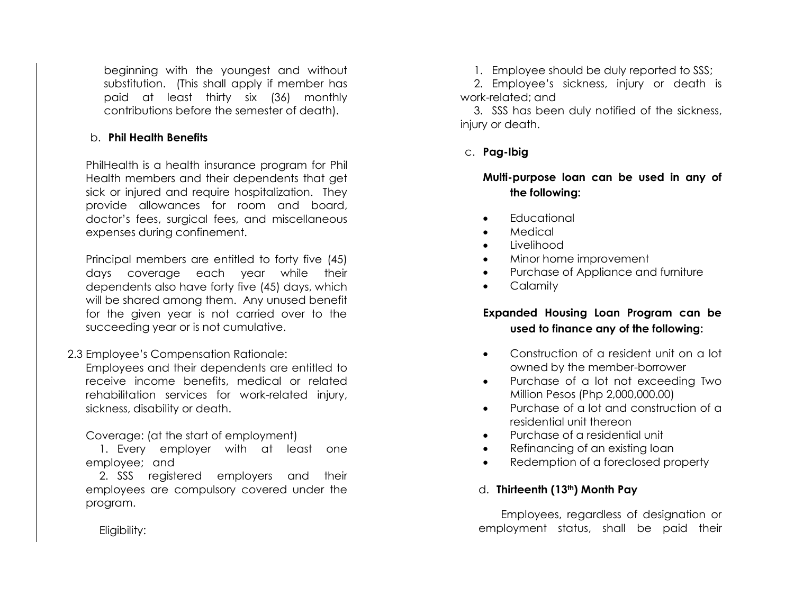beginning with the youngest and without substitution. (This shall apply if member has paid at least thirty six (36) monthly contributions before the semester of death).

#### b. **Phil Health Benefits**

PhilHealth is a health insurance program for Phil Health members and their dependents that get sick or injured and require hospitalization. They provide allowances for room and board, doctor's fees, surgical fees, and miscellaneous expenses during confinement.

Principal members are entitled to forty five (45) days coverage each year while their dependents also have forty five (45) days, which will be shared among them. Any unused benefit for the given year is not carried over to the succeeding year or is not cumulative.

2.3 Employee's Compensation Rationale:

Employees and their dependents are entitled to receive income benefits, medical or related rehabilitation services for work-related injury, sickness, disability or death.

Coverage: (at the start of employment)

1. Every employer with at least one employee; and

2. SSS registered employers and their employees are compulsory covered under the program.

1. Employee should be duly reported to SSS;

2. Employee's sickness, injury or death is work-related; and

3. SSS has been duly notified of the sickness, injury or death.

c. **Pag-Ibig** 

**Multi-purpose loan can be used in any of the following:**

- **Fducational**
- Medical
- Livelihood
- Minor home improvement
- Purchase of Appliance and furniture
- **Calamity**

# **Expanded Housing Loan Program can be used to finance any of the following:**

- Construction of a resident unit on a lot owned by the member-borrower
- Purchase of a lot not exceeding Two Million Pesos (Php 2,000,000.00)
- Purchase of a lot and construction of a residential unit thereon
- Purchase of a residential unit
- Refinancing of an existing loan
- Redemption of a foreclosed property

# d. **Thirteenth (13th) Month Pay**

Employees, regardless of designation or employment status, shall be paid their

Eligibility: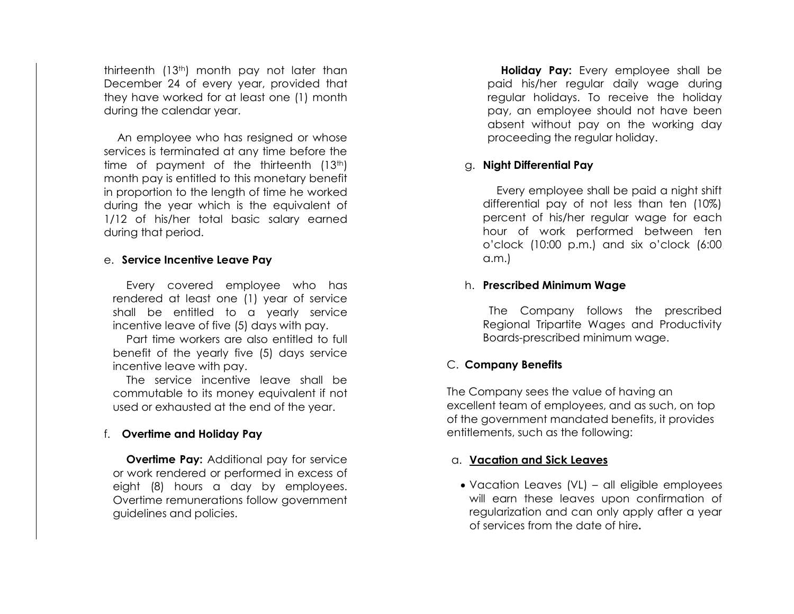thirteenth (13th) month pay not later than December 24 of every year, provided that they have worked for at least one (1) month during the calendar year.

An employee who has resigned or whose services is terminated at any time before the time of payment of the thirteenth  $(13<sup>th</sup>)$ month pay is entitled to this monetary benefit in proportion to the length of time he worked during the year which is the equivalent of 1/12 of his/her total basic salary earned during that period.

#### e. **Service Incentive Leave Pay**

Every covered employee who has rendered at least one (1) year of service shall be entitled to a yearly service incentive leave of five (5) days with pay.

Part time workers are also entitled to full benefit of the yearly five (5) days service incentive leave with pay.

The service incentive leave shall be commutable to its money equivalent if not used or exhausted at the end of the year.

#### f. **Overtime and Holiday Pay**

**Overtime Pay:** Additional pay for service or work rendered or performed in excess of eight (8) hours a day by employees. Overtime remunerations follow government guidelines and policies.

**Holiday Pay:** Every employee shall be paid his/her regular daily wage during regular holidays. To receive the holiday pay, an employee should not have been absent without pay on the working day proceeding the regular holiday.

#### g. **Night Differential Pay**

Every employee shall be paid a night shift differential pay of not less than ten (10%) percent of his/her regular wage for each hour of work performed between ten o'clock (10:00 p.m.) and six o'clock (6:00 a.m.)

#### h. **Prescribed Minimum Wage**

 The Company follows the prescribed Regional Tripartite Wages and Productivity Boards-prescribed minimum wage.

#### C. **Company Benefits**

The Company sees the value of having an excellent team of employees, and as such, on top of the government mandated benefits, it provides entitlements, such as the following:

#### a. **Vacation and Sick Leaves**

• Vacation Leaves (VL) – all eligible employees will earn these leaves upon confirmation of regularization and can only apply after a year of services from the date of hire**.**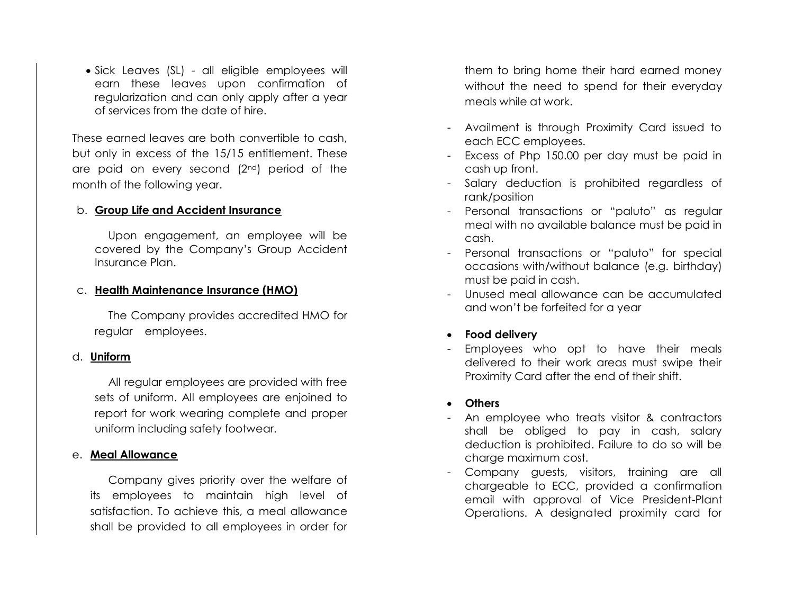• Sick Leaves (SL) - all eligible employees will earn these leaves upon confirmation of regularization and can only apply after a year of services from the date of hire.

These earned leaves are both convertible to cash, but only in excess of the 15/15 entitlement. These are paid on every second (2nd) period of the month of the following year.

#### b. **Group Life and Accident Insurance**

Upon engagement, an employee will be covered by the Company's Group Accident Insurance Plan.

#### c. **Health Maintenance Insurance (HMO)**

 The Company provides accredited HMO for regular employees.

#### d. **Uniform**

All regular employees are provided with free sets of uniform. All employees are enjoined to report for work wearing complete and proper uniform including safety footwear.

#### e. **Meal Allowance**

Company gives priority over the welfare of its employees to maintain high level of satisfaction. To achieve this, a meal allowance shall be provided to all employees in order for

them to bring home their hard earned money without the need to spend for their everyday meals while at work.

- Availment is through Proximity Card issued to each ECC employees.
- Excess of Php 150.00 per day must be paid in cash up front.
- Salary deduction is prohibited regardless of rank/position
- Personal transactions or "paluto" as regular meal with no available balance must be paid in cash.
- Personal transactions or "paluto" for special occasions with/without balance (e.g. birthday) must be paid in cash.
- Unused meal allowance can be accumulated and won't be forfeited for a year
- **Food delivery**
- Employees who opt to have their meals delivered to their work areas must swipe their Proximity Card after the end of their shift.
- **Others**
- An employee who treats visitor & contractors shall be obliged to pay in cash, salary deduction is prohibited. Failure to do so will be charge maximum cost.
- Company guests, visitors, training are all chargeable to ECC, provided a confirmation email with approval of Vice President-Plant Operations. A designated proximity card for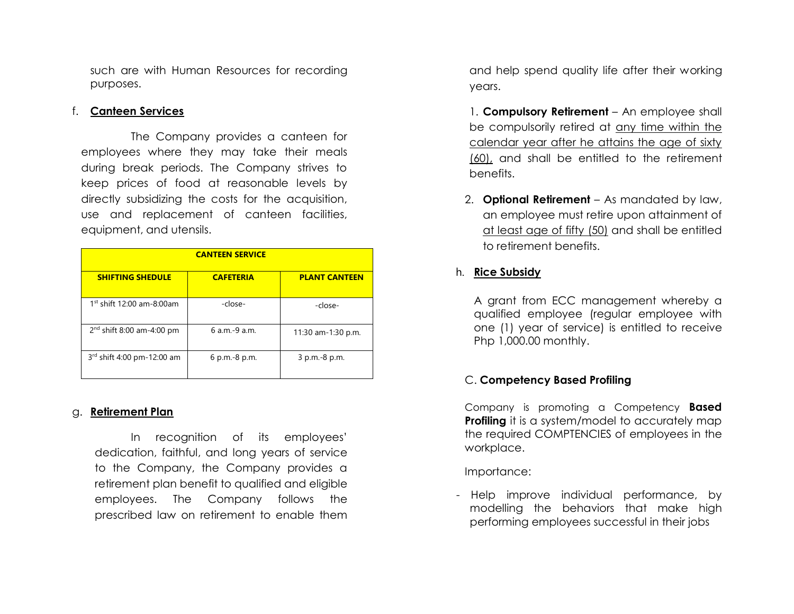such are with Human Resources for recording purposes.

#### f. **Canteen Services**

The Company provides a canteen for employees where they may take their meals during break periods. The Company strives to keep prices of food at reasonable levels by directly subsidizing the costs for the acquisition, use and replacement of canteen facilities, equipment, and utensils.

| <b>CANTEEN SERVICE</b>       |                  |                      |  |  |
|------------------------------|------------------|----------------------|--|--|
| <b>SHIFTING SHEDULE</b>      | <b>CAFETERIA</b> | <b>PLANT CANTEEN</b> |  |  |
| $1st$ shift 12:00 am-8:00am  | -close-          | -close-              |  |  |
| $2nd$ shift 8:00 am-4:00 pm  | 6 a.m.-9 a.m.    | 11:30 am-1:30 p.m.   |  |  |
| $3rd$ shift 4:00 pm-12:00 am | 6 p.m.-8 p.m.    | 3 p.m.-8 p.m.        |  |  |

#### g. **Retirement Plan**

In recognition of its employees' dedication, faithful, and long years of service to the Company, the Company provides a retirement plan benefit to qualified and eligible employees. The Company follows the prescribed law on retirement to enable them and help spend quality life after their working years.

1. **Compulsory Retirement** – An employee shall be compulsorily retired at any time within the calendar year after he attains the age of sixty (60), and shall be entitled to the retirement benefits.

2. **Optional Retirement** – As mandated by law, an employee must retire upon attainment of at least age of fifty (50) and shall be entitled to retirement benefits.

# h. **Rice Subsidy**

A grant from ECC management whereby a qualified employee (regular employee with one (1) year of service) is entitled to receive Php 1,000.00 monthly.

# C. **Competency Based Profiling**

Company is promoting a Competency **Based Profiling** it is a system/model to accurately map the required COMPTENCIES of employees in the workplace.

Importance:

- Help improve individual performance, by modelling the behaviors that make high performing employees successful in their jobs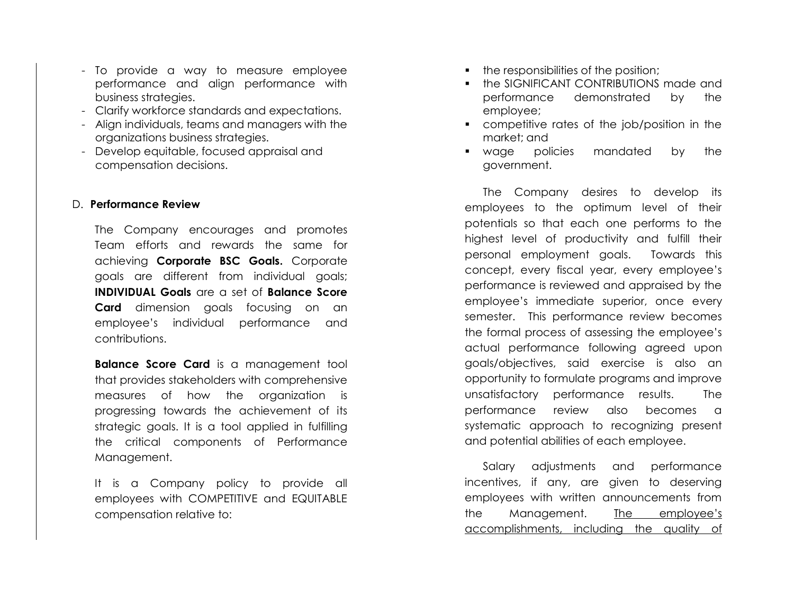- To provide a way to measure employee performance and align performance with business strategies.
- Clarify workforce standards and expectations.
- Align individuals, teams and managers with the organizations business strategies.
- Develop equitable, focused appraisal and compensation decisions.

#### D. **Performance Review**

The Company encourages and promotes Team efforts and rewards the same for achieving **Corporate BSC Goals.** Corporate goals are different from individual goals; **INDIVIDUAL Goals** are a set of **Balance Score Card** dimension goals focusing on an employee's individual performance and contributions.

**Balance Score Card** is a management tool that provides stakeholders with comprehensive measures of how the organization is progressing towards the achievement of its strategic goals. It is a tool applied in fulfilling the critical components of Performance Management.

It is a Company policy to provide all employees with COMPETITIVE and EQUITABLE compensation relative to:

- the responsibilities of the position;
- the SIGNIFICANT CONTRIBUTIONS made and performance demonstrated by the employee;
- competitive rates of the job/position in the market; and
- wage policies mandated by the government.

The Company desires to develop its employees to the optimum level of their potentials so that each one performs to the highest level of productivity and fulfill their personal employment goals. Towards this concept, every fiscal year, every employee's performance is reviewed and appraised by the employee's immediate superior, once every semester. This performance review becomes the formal process of assessing the employee's actual performance following agreed upon goals/objectives, said exercise is also an opportunity to formulate programs and improve unsatisfactory performance results. The performance review also becomes a systematic approach to recognizing present and potential abilities of each employee.

Salary adjustments and performance incentives, if any, are given to deserving employees with written announcements from the Management. The employee's accomplishments, including the quality of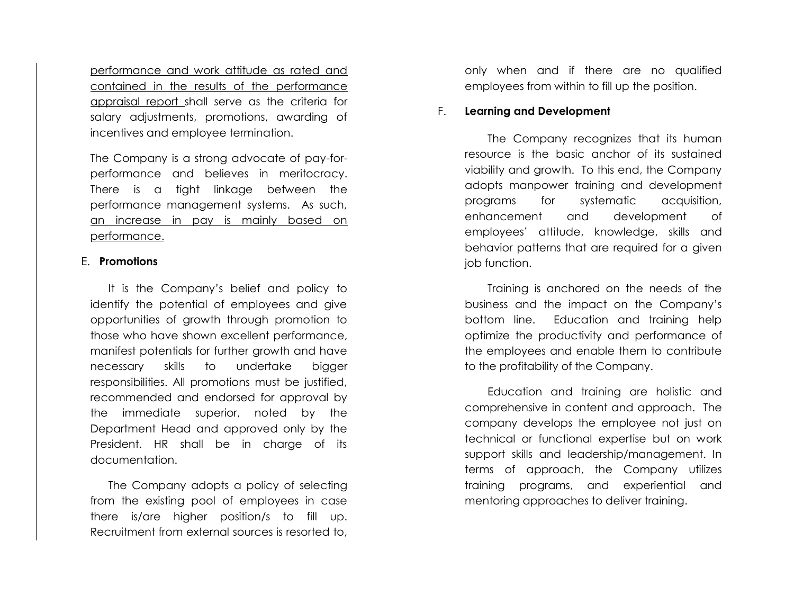performance and work attitude as rated and contained in the results of the performance appraisal report shall serve as the criteria for salary adjustments, promotions, awarding of incentives and employee termination.

The Company is a strong advocate of pay-forperformance and believes in meritocracy. There is a tight linkage between the performance management systems. As such, an increase in pay is mainly based on performance.

#### E. **Promotions**

It is the Company's belief and policy to identify the potential of employees and give opportunities of growth through promotion to those who have shown excellent performance, manifest potentials for further growth and have necessary skills to undertake bigger responsibilities. All promotions must be justified, recommended and endorsed for approval by the immediate superior, noted by the Department Head and approved only by the President. HR shall be in charge of its documentation.

The Company adopts a policy of selecting from the existing pool of employees in case there is/are higher position/s to fill up. Recruitment from external sources is resorted to, only when and if there are no qualified employees from within to fill up the position.

#### F. **Learning and Development**

The Company recognizes that its human resource is the basic anchor of its sustained viability and growth. To this end, the Company adopts manpower training and development programs for systematic acquisition, enhancement and development of employees' attitude, knowledge, skills and behavior patterns that are required for a given job function.

Training is anchored on the needs of the business and the impact on the Company's bottom line. Education and training help optimize the productivity and performance of the employees and enable them to contribute to the profitability of the Company.

Education and training are holistic and comprehensive in content and approach. The company develops the employee not just on technical or functional expertise but on work support skills and leadership/management. In terms of approach, the Company utilizes training programs, and experiential and mentoring approaches to deliver training.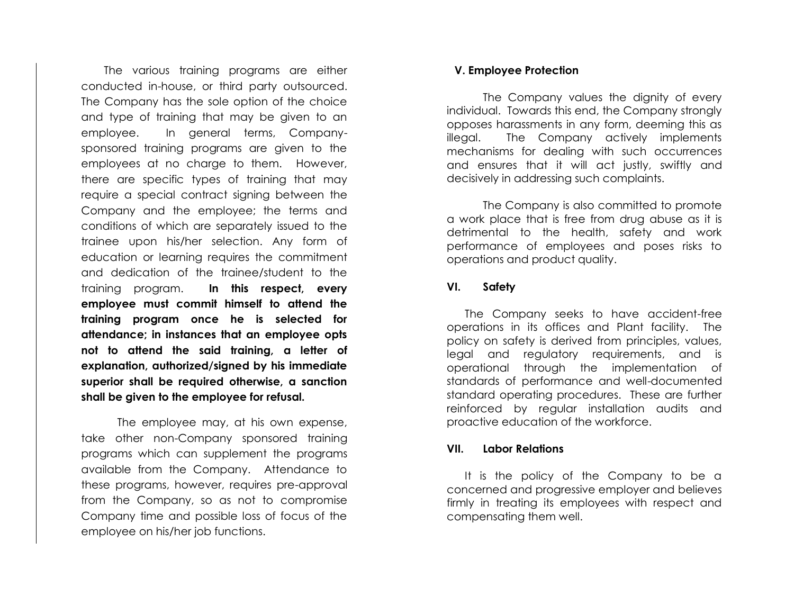The various training programs are either conducted in-house, or third party outsourced. The Company has the sole option of the choice and type of training that may be given to an employee. In general terms, Companysponsored training programs are given to the employees at no charge to them. However, there are specific types of training that may require a special contract signing between the Company and the employee; the terms and conditions of which are separately issued to the trainee upon his/her selection. Any form of education or learning requires the commitment and dedication of the trainee/student to the training program. **In this respect, every employee must commit himself to attend the training program once he is selected for attendance; in instances that an employee opts not to attend the said training, a letter of explanation, authorized/signed by his immediate superior shall be required otherwise, a sanction shall be given to the employee for refusal.**

The employee may, at his own expense, take other non-Company sponsored training programs which can supplement the programs available from the Company. Attendance to these programs, however, requires pre-approval from the Company, so as not to compromise Company time and possible loss of focus of the employee on his/her job functions.

#### **V. Employee Protection**

The Company values the dignity of every individual. Towards this end, the Company strongly opposes harassments in any form, deeming this as illegal. The Company actively implements mechanisms for dealing with such occurrences and ensures that it will act justly, swiftly and decisively in addressing such complaints.

The Company is also committed to promote a work place that is free from drug abuse as it is detrimental to the health, safety and work performance of employees and poses risks to operations and product quality.

#### **VI. Safety**

The Company seeks to have accident-free operations in its offices and Plant facility. The policy on safety is derived from principles, values, legal and regulatory requirements, and is operational through the implementation of standards of performance and well-documented standard operating procedures. These are further reinforced by regular installation audits and proactive education of the workforce.

#### **VII. Labor Relations**

It is the policy of the Company to be a concerned and progressive employer and believes firmly in treating its employees with respect and compensating them well.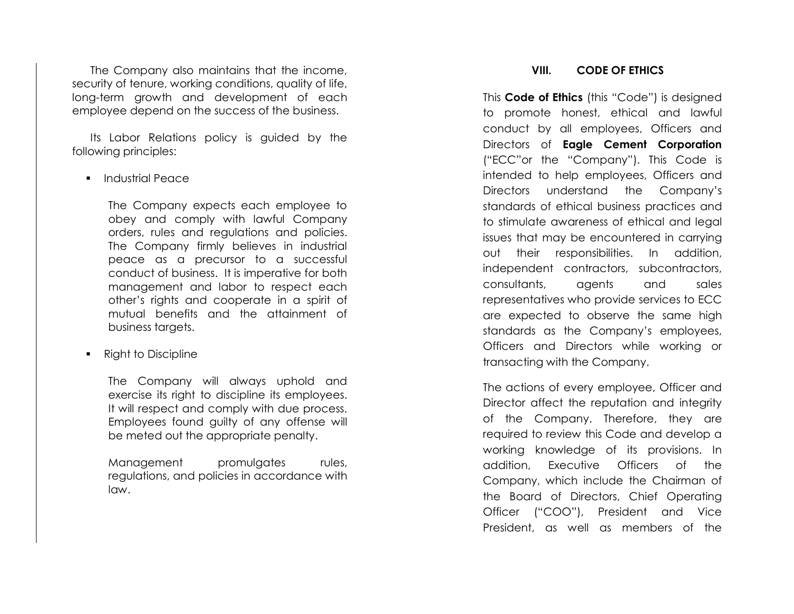The Company also maintains that the income, security of tenure, working conditions, quality of life, long -term growth and development of each employee depend on the success of the business.

Its Labor Relations policy is guided by the following principles:

▪ Industrial Peace

The Company expects each employee to obey and comply with lawful Company orders, rules and regulations and policies. The Company firmly believes in industrial peace as a precursor to a successful conduct of business. It is imperative for both management and labor to respect each other's rights and cooperate in a spirit of mutual benefits and the attainment of business targets.

**Right to Discipline** 

The Company will always uphold and exercise its right to discipline its employees. It will respect and comply with due process. Employees found guilty of any offense will be meted out the appropriate penalty.

Management promulgates rules, regulations, and policies in accordance with law.

#### **VIII. CODE OF ETHICS**

This **Code of Ethics** (this "Code") is designed to promote honest, ethical and lawful conduct by all employees, Officers and Directors of **Eagle Cement Corporation** ("ECC"or the "Company"). This Code is intended to help employees, Officers and Directors understand the Company's standards of ethical business practices and to stimulate awareness of ethical and legal issues that may be encountered in carrying out their responsibilities. In addition, independent contractors, subcontractors, consultants, agents and sales representatives who provide services to ECC are expected to observe the same high standards as the Company's employees, Officers and Directors while working or transacting with the Company.

The actions of every employee, Officer and Director affect the reputation and integrity of the Company. Therefore, they are required to review this Code and develop a working knowledge of its provisions. In addition, Executive Officers of the Company, which include the Chairman of the Board of Directors, Chief Operating Officer ("COO"), President and Vice President, as well as members of the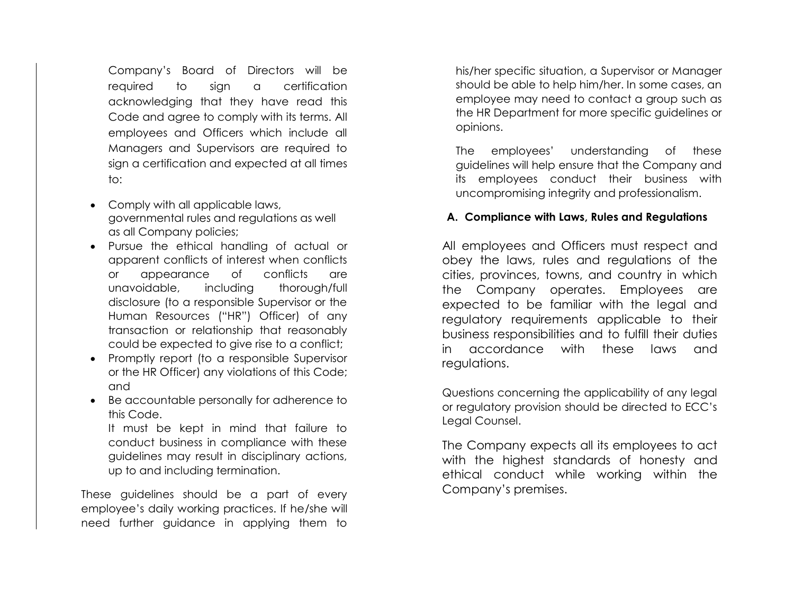Company's Board of Directors will be required to sign a certification acknowledging that they have read this Code and agree to comply with its terms. All employees and Officers which include all Managers and Supervisors are required to sign a certification and expected at all times to:

- Comply with all applicable laws, governmental rules and regulations as well as all Company policies;
- Pursue the ethical handling of actual or apparent conflicts of interest when conflicts or appearance of conflicts are unavoidable, including thorough/full disclosure (to a responsible Supervisor or the Human Resources ("HR") Officer) of any transaction or relationship that reasonably could be expected to give rise to a conflict;
- Promptly report (to a responsible Supervisor or the HR Officer) any violations of this Code; and
- Be accountable personally for adherence to this Code.

It must be kept in mind that failure to conduct business in compliance with these guidelines may result in disciplinary actions, up to and including termination.

These guidelines should be a part of every employee's daily working practices. If he/she will need further guidance in applying them to his/her specific situation, a Supervisor or Manager should be able to help him/her. In some cases, an employee may need to contact a group such as the HR Department for more specific guidelines or opinions.

The employees' understanding of these guidelines will help ensure that the Company and its employees conduct their business with uncompromising integrity and professionalism.

#### **A. Compliance with Laws, Rules and Regulations**

All employees and Officers must respect and obey the laws, rules and regulations of the cities, provinces, towns, and country in which the Company operates. Employees are expected to be familiar with the legal and regulatory requirements applicable to their business responsibilities and to fulfill their duties in accordance with these laws and regulations.

Questions concerning the applicability of any legal or regulatory provision should be directed to ECC's Legal Counsel.

The Company expects all its employees to act with the highest standards of honesty and ethical conduct while working within the Company's premises.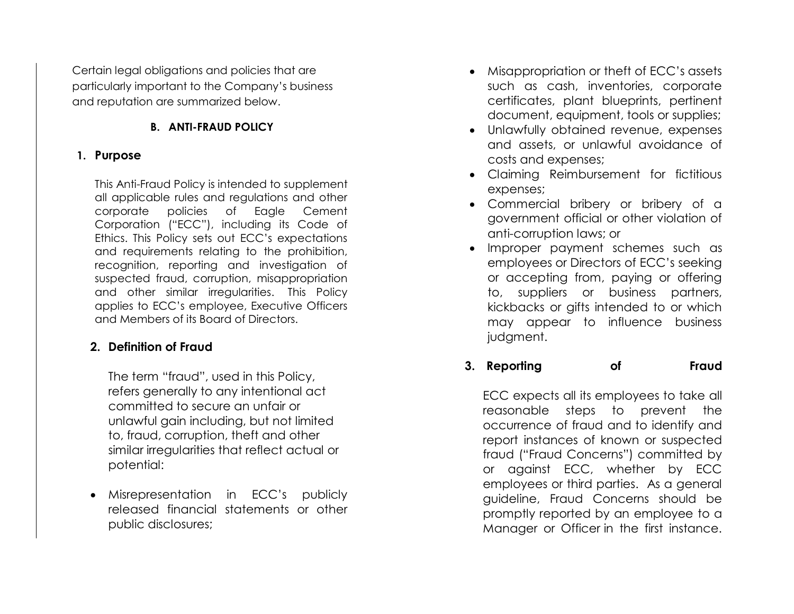Certain legal obligations and policies that are particularly important to the Company's business and reputation are summarized below.

# **B. ANTI-FRAUD POLICY**

# **1. Purpose**

This Anti-Fraud Policy is intended to supplement all applicable rules and regulations and other corporate policies of Eagle Cement Corporation ("ECC"), including its Code of Ethics. This Policy sets out ECC's expectations and requirements relating to the prohibition, recognition, reporting and investigation of suspected fraud, corruption, misappropriation and other similar irregularities. This Policy applies to ECC's employee, Executive Officers and Members of its Board of Directors.

# **2. Definition of Fraud**

The term "fraud", used in this Policy, refers generally to any intentional act committed to secure an unfair or unlawful gain including, but not limited to, fraud, corruption, theft and other similar irregularities that reflect actual or potential:

• Misrepresentation in ECC's publicly released financial statements or other public disclosures;

- Misappropriation or theft of ECC's assets such as cash, inventories, corporate certificates, plant blueprints, pertinent document, equipment, tools or supplies;
- Unlawfully obtained revenue, expenses and assets, or unlawful avoidance of costs and expenses;
- Claiming Reimbursement for fictitious expenses;
- Commercial bribery or bribery of a government official or other violation of anti-corruption laws; or
- Improper payment schemes such as employees or Directors of ECC's seeking or accepting from, paying or offering to, suppliers or business partners, kickbacks or gifts intended to or which may appear to influence business judgment.

**3. Reporting of Fraud**

ECC expects all its employees to take all reasonable steps to prevent the occurrence of fraud and to identify and report instances of known or suspected fraud ("Fraud Concerns") committed by or against ECC, whether by ECC employees or third parties. As a general guideline, Fraud Concerns should be promptly reported by an employee to a Manager or Officer in the first instance.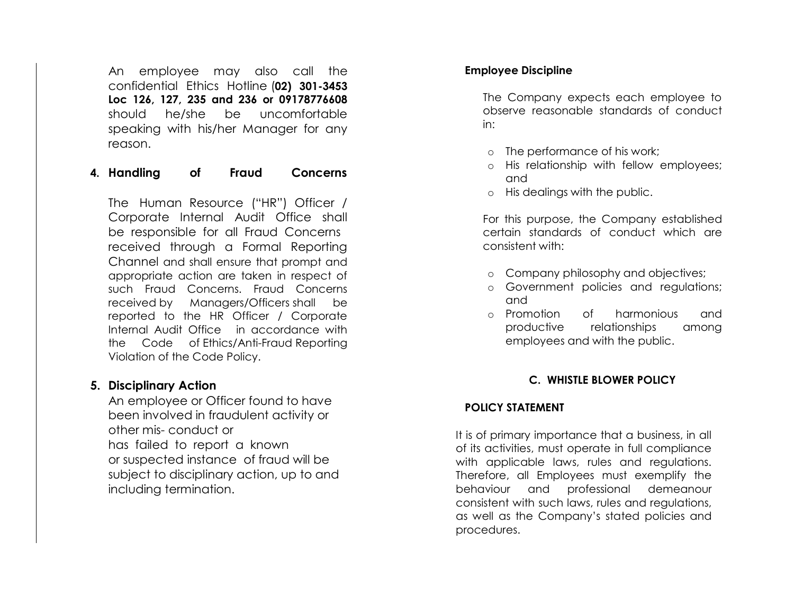An employee may also call the confidential Ethics Hotline (**02) 301-3453 Loc 126, 127, 235 and 236 or 09178776608**  should he/she be uncomfortable speaking with his/her Manager for any reason.

#### **4. Handling of Fraud Concerns**

The Human Resource ("HR") Officer / Corporate Internal Audit Office shall be responsible for all Fraud Concerns received through a Formal Reporting Channel and shall ensure that prompt and appropriate action are taken in respect of such Fraud Concerns. Fraud Concerns received by Managers/Officers shall be reported to the HR Officer / Corporate Internal Audit Office in accordance with the Code of Ethics/Anti-Fraud Reporting Violation of the Code Policy.

#### **5. Disciplinary Action**

An employee or Officer found to have been involved in fraudulent activity or other mis- conduct or has failed to report a known or suspected instance of fraud will be subject to disciplinary action, up to and including termination.

#### **Employee Discipline**

The Company expects each employee to observe reasonable standards of conduct in:

- The performance of his work;
- o His relationship with fellow employees; and
- o His dealings with the public.

For this purpose, the Company established certain standards of conduct which are consistent with:

- o Company philosophy and objectives;
- o Government policies and regulations; and
- o Promotion of harmonious and productive relationships among employees and with the public.

#### **C. WHISTLE BLOWER POLICY**

#### **POLICY STATEMENT**

It is of primary importance that a business, in all of its activities, must operate in full compliance with applicable laws, rules and regulations. Therefore, all Employees must exemplify the behaviour and professional demeanour consistent with such laws, rules and regulations, as well as the Company's stated policies and procedures.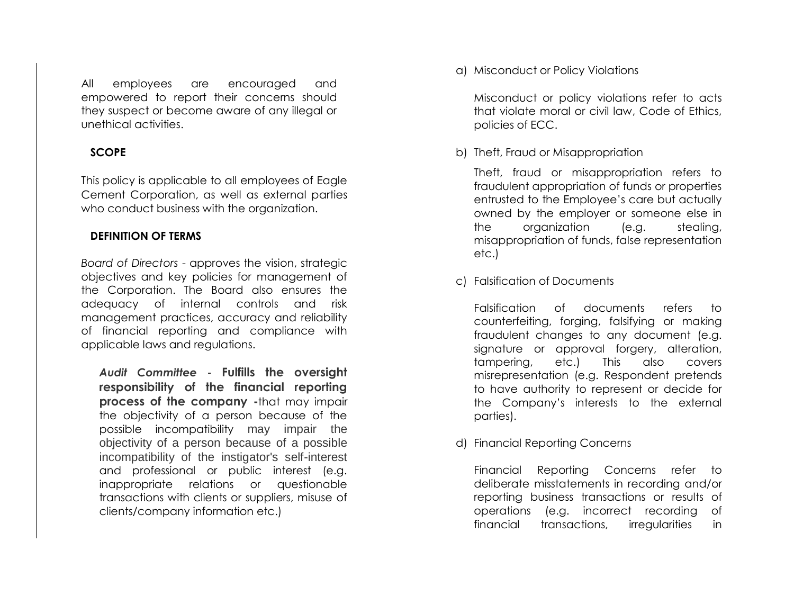All employees are encouraged and empowered to report their concerns should they suspect or become aware of any illegal or unethical activities.

#### **SCOPE**

This policy is applicable to all employees of Eagle Cement Corporation, as well as external parties who conduct business with the organization.

# **DEFINITION OF TERMS**

*Board of Directors* - approves the vision, strategic objectives and key policies for management of the Corporation. The Board also ensures the adequacy of internal controls and risk management practices, accuracy and reliability of financial reporting and compliance with applicable laws and regulations.

*Audit Committee* **- Fulfills the oversight responsibility of the financial reporting process of the company -**that may impair the objectivity of a person because of the possible incompatibility may impair the objectivity of a person because of a possible incompatibility of the instigator's self-interest and professional or public interest (e.g. inappropriate relations or questionable transactions with clients or suppliers, misuse of clients/company information etc.)

a) Misconduct or Policy Violations

Misconduct or policy violations refer to acts that violate moral or civil law, Code of Ethics, policies of ECC.

b) Theft, Fraud or Misappropriation

Theft, fraud or misappropriation refers to fraudulent appropriation of funds or properties entrusted to the Employee's care but actually owned by the employer or someone else in the organization (e.g. stealing, misappropriation of funds, false representation etc.)

c) Falsification of Documents

Falsification of documents refers to counterfeiting, forging, falsifying or making fraudulent changes to any document (e.g. signature or approval forgery, alteration, tampering, etc.) This also covers misrepresentation (e.g. Respondent pretends to have authority to represent or decide for the Company's interests to the external parties).

d) Financial Reporting Concerns

Financial Reporting Concerns refer to deliberate misstatements in recording and/or reporting business transactions or results of operations (e.g. incorrect recording of financial transactions, irregularities in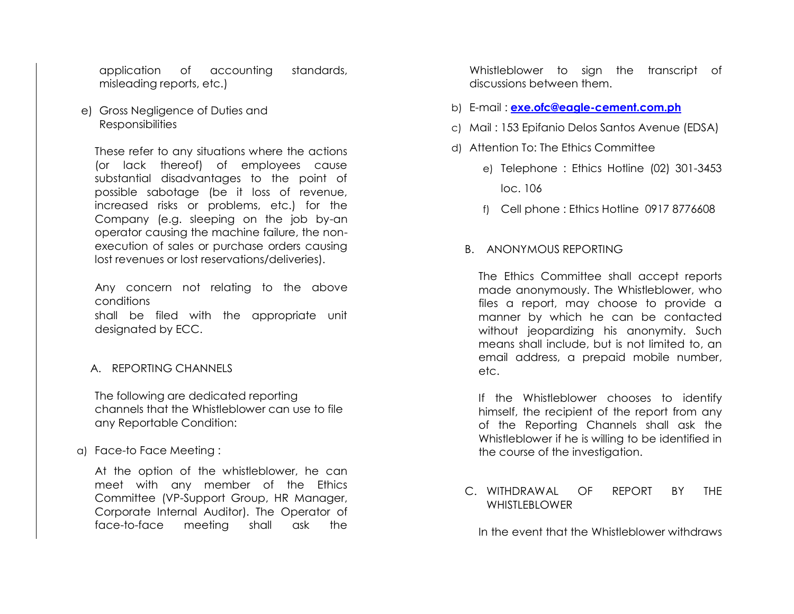application of accounting standards, misleading reports, etc.)

e) Gross Negligence of Duties and **Responsibilities** 

These refer to any situations where the actions (or lack thereof) of employees cause substantial disadvantages to the point of possible sabotage (be it loss of revenue, increased risks or problems, etc.) for the Company (e.g. sleeping on the job by-an operator causing the machine failure, the nonexecution of sales or purchase orders causing lost revenues or lost reservations/deliveries).

Any concern not relating to the above conditions shall be filed with the appropriate unit designated by ECC.

#### A. REPORTING CHANNELS

The following are dedicated reporting channels that the Whistleblower can use to file any Reportable Condition:

a) Face-to Face Meeting :

At the option of the whistleblower, he can meet with any member of the Ethics Committee (VP-Support Group, HR Manager, Corporate Internal Auditor). The Operator of face-to-face meeting shall ask the

Whistleblower to sign the transcript of discussions between them.

- b) E-mail : **[exe.ofc@eagle-cement.com.ph](mailto:exe.ofc@eagle-cement.com.ph)**
- c) Mail : 153 Epifanio Delos Santos Avenue (EDSA)
- d) Attention To: The Ethics Committee
	- e) Telephone : Ethics Hotline (02) 301-3453 loc. 106
	- f) Cell phone : Ethics Hotline 0917 8776608
	- B. ANONYMOUS REPORTING

The Ethics Committee shall accept reports made anonymously. The Whistleblower, who files a report, may choose to provide a manner by which he can be contacted without jeopardizing his anonymity. Such means shall include, but is not limited to, an email address, a prepaid mobile number, etc.

If the Whistleblower chooses to identify himself, the recipient of the report from any of the Reporting Channels shall ask the Whistleblower if he is willing to be identified in the course of the investigation.

C. WITHDRAWAL OF REPORT BY THE WHISTLEBLOWER

In the event that the Whistleblower withdraws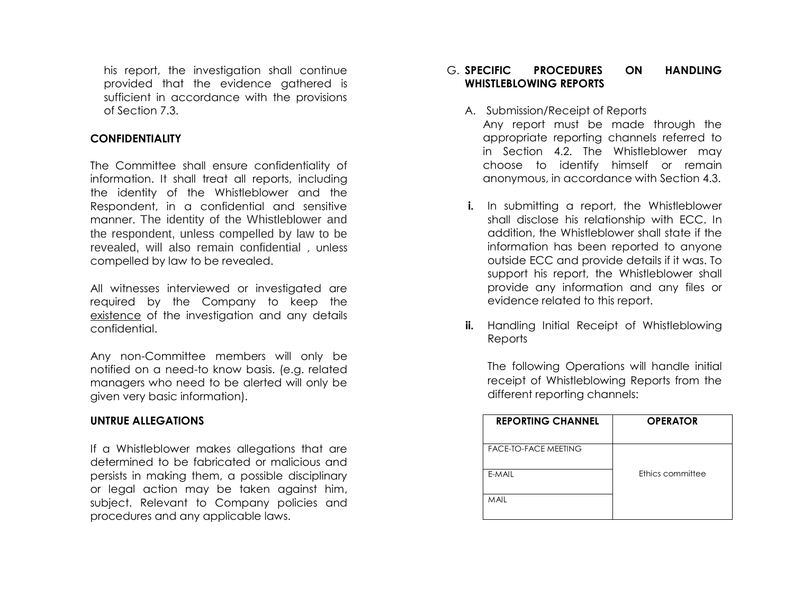his report, the investigation shall continue provided that the evidence gathered is sufficient in accordance with the provisions of Section 7.3.

#### **CONFIDENTIALITY**

The Committee shall ensure confidentiality of information. It shall treat all reports, including the identity of the Whistleblower and the Respondent, in a confidential and sensitive manner. The identity of the Whistleblower and the respondent, unless compelled by law to be revealed, will also remain confidential , unless compelled by law to be revealed.

All witnesses interviewed or investigated are required by the Company to keep the existence of the investigation and any details confidential.

Any non-Committee members will only be notified on a need-to know basis. (e.g. related managers who need to be alerted will only be given very basic information).

# **UNTRUE ALLEGATIONS**

If a Whistleblower makes allegations that are determined to be fabricated or malicious and persists in making them, a possible disciplinary or legal action may be taken against him, subject. Relevant to Company policies and procedures and any applicable laws.

#### G. **SPECIFIC PROCEDURES ON HANDLING WHISTLEBLOWING REPORTS**

# A. Submission/Receipt of Reports

Any report must be made through the appropriate reporting channels referred to in Section 4.2. The Whistleblower may choose to identify himself or remain anonymous, in accordance with Section 4.3.

- **i.** In submitting a report, the Whistleblower shall disclose his relationship with ECC. In addition, the Whistleblower shall state if the information has been reported to anyone outside ECC and provide details if it was. To support his report, the Whistleblower shall provide any information and any files or evidence related to this report.
- **ii.** Handling Initial Receipt of Whistleblowing Reports

The following Operations will handle initial receipt of Whistleblowing Reports from the different reporting channels:

| <b>REPORTING CHANNEL</b> | <b>OPERATOR</b>  |
|--------------------------|------------------|
| FACE-TO-FACE MEETING     |                  |
| E-MAIL                   | Ethics committee |
| MAIL                     |                  |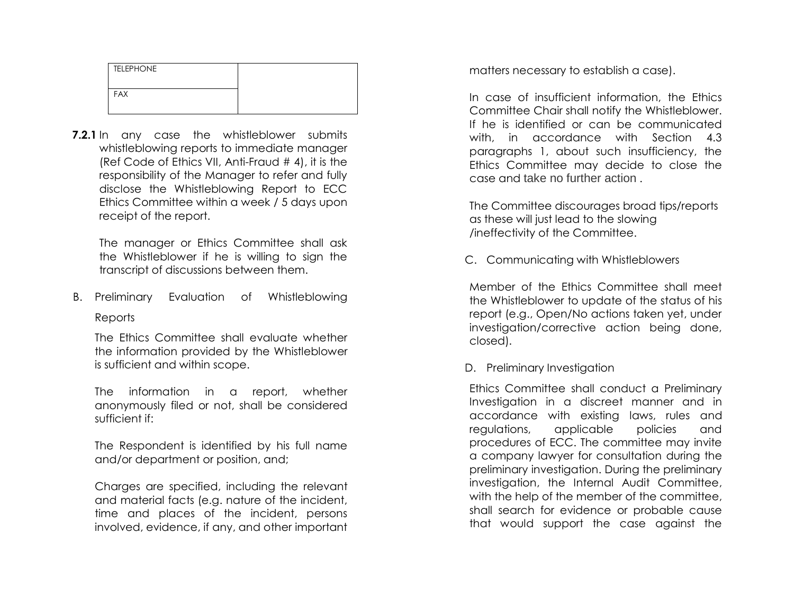| <b>TELEPHONE</b> |  |
|------------------|--|
| <b>FAX</b>       |  |
|                  |  |

**7.2.1** In any case the whistleblower submits whistleblowing reports to immediate manager (Ref Code of Ethics VII, Anti-Fraud # 4), it is the responsibility of the Manager to refer and fully disclose the Whistleblowing Report to ECC Ethics Committee within a week / 5 days upon receipt of the report.

The manager or Ethics Committee shall ask the Whistleblower if he is willing to sign the transcript of discussions between them.

B. Preliminary Evaluation of Whistleblowing **Reports** 

The Ethics Committee shall evaluate whether the information provided by the Whistleblower is sufficient and within scope.

The information in a report, whether anonymously filed or not, shall be considered sufficient if:

The Respondent is identified by his full name and/or department or position, and;

Charges are specified, including the relevant and material facts (e.g. nature of the incident, time and places of the incident, persons involved, evidence, if any, and other important matters necessary to establish a case).

In case of insufficient information, the Ethics Committee Chair shall notify the Whistleblower. If he is identified or can be communicated with, in accordance with Section 4.3 paragraphs 1, about such insufficiency, the Ethics Committee may decide to close the case and take no further action .

The Committee discourages broad tips/reports as these will just lead to the slowing /ineffectivity of the Committee.

C. Communicating with Whistleblowers

Member of the Ethics Committee shall meet the Whistleblower to update of the status of his report (e.g., Open/No actions taken yet, under investigation/corrective action being done, closed).

D. Preliminary Investigation

Ethics Committee shall conduct a Preliminary Investigation in a discreet manner and in accordance with existing laws, rules and regulations, applicable policies and procedures of ECC. The committee may invite a company lawyer for consultation during the preliminary investigation. During the preliminary investigation, the Internal Audit Committee, with the help of the member of the committee, shall search for evidence or probable cause that would support the case against the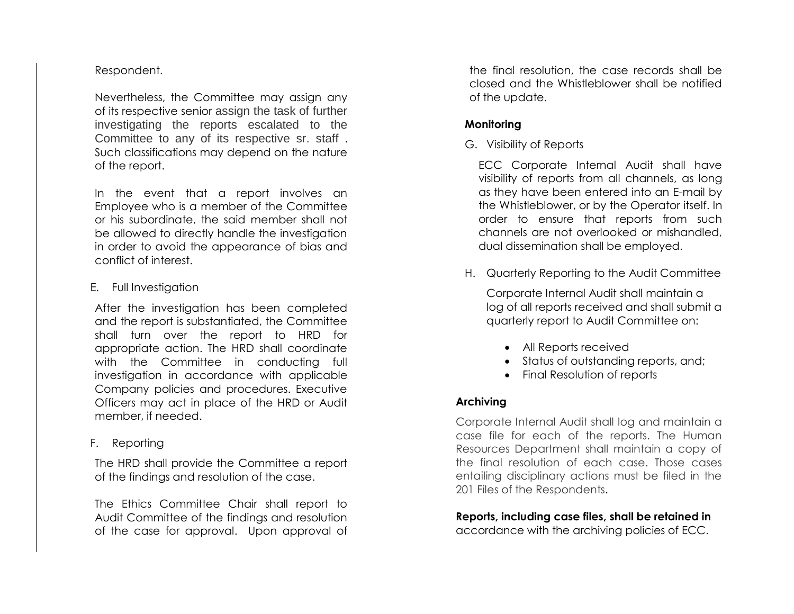# Respondent.

Nevertheless, the Committee may assign any of its respective senior assign the task of further investigating the reports escalated to the Committee to any of its respective sr. staff . Such classifications may depend on the nature of the report.

In the event that a report involves an Employee who is a member of the Committee or his subordinate, the said member shall not be allowed to directly handle the investigation in order to avoid the appearance of bias and conflict of interest.

#### E. Full Investigation

After the investigation has been completed and the report is substantiated, the Committee shall turn over the report to HRD for appropriate action. The HRD shall coordinate with the Committee in conducting full investigation in accordance with applicable Company policies and procedures. Executive Officers may act in place of the HRD or Audit member, if needed.

F. Reporting

The HRD shall provide the Committee a report of the findings and resolution of the case.

The Ethics Committee Chair shall report to Audit Committee of the findings and resolution of the case for approval. Upon approval of

the final resolution, the case records shall be closed and the Whistleblower shall be notified of the update.

# **Monitoring**

G. Visibility of Reports

ECC Corporate Internal Audit shall have visibility of reports from all channels, as long as they have been entered into an E-mail by the Whistleblower, or by the Operator itself. In order to ensure that reports from such channels are not overlooked or mishandled, dual dissemination shall be employed.

H. Quarterly Reporting to the Audit Committee

Corporate Internal Audit shall maintain a log of all reports received and shall submit a quarterly report to Audit Committee on:

- All Reports received
- Status of outstanding reports, and;
- Final Resolution of reports

# **Archiving**

Corporate Internal Audit shall log and maintain a case file for each of the reports. The Human Resources Department shall maintain a copy of the final resolution of each case. Those cases entailing disciplinary actions must be filed in the 201 Files of the Respondents.

# **Reports, including case files, shall be retained in**

accordance with the archiving policies of ECC.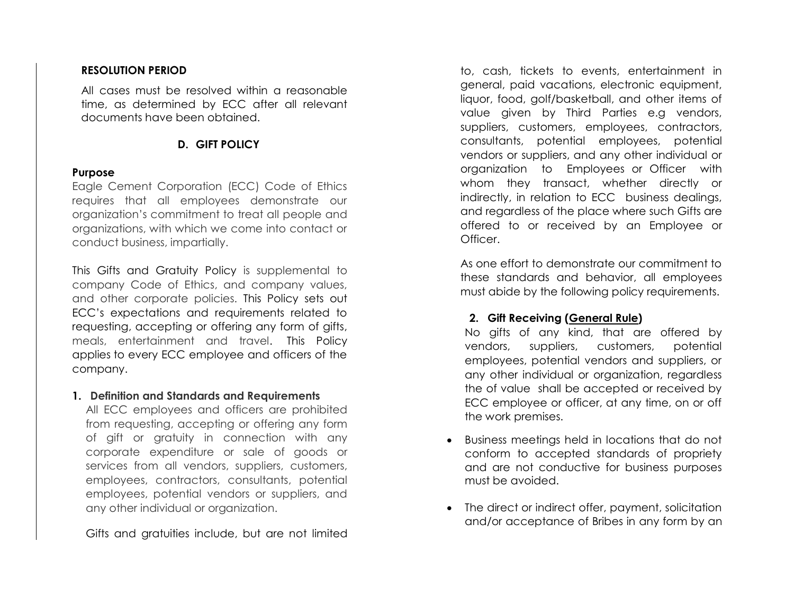#### **RESOLUTION PERIOD**

All cases must be resolved within a reasonable time, as determined by ECC after all relevant documents have been obtained.

# **D. GIFT POLICY**

#### **Purpose**

Eagle Cement Corporation (ECC) Code of Ethics requires that all employees demonstrate our organization's commitment to treat all people and organizations, with which we come into contact or conduct business, impartially.

This Gifts and Gratuity Policy is supplemental to company Code of Ethics, and company values, and other corporate policies. This Policy sets out ECC's expectations and requirements related to requesting, accepting or offering any form of gifts, meals, entertainment and travel. This Policy applies to every ECC employee and officers of the company.

#### **1. Definition and Standards and Requirements**

All ECC employees and officers are prohibited from requesting, accepting or offering any form of gift or gratuity in connection with any corporate expenditure or sale of goods or services from all vendors, suppliers, customers, employees, contractors, consultants, potential employees, potential vendors or suppliers, and any other individual or organization.

Gifts and gratuities include, but are not limited

to, cash, tickets to events, entertainment in general, paid vacations, electronic equipment, liquor, food, golf/basketball, and other items of value given by Third Parties e.g vendors, suppliers, customers, employees, contractors, consultants, potential employees, potential vendors or suppliers, and any other individual or organization to Employees or Officer with whom they transact, whether directly or indirectly, in relation to ECC business dealings, and regardless of the place where such Gifts are offered to or received by an Employee or Officer.

As one effort to demonstrate our commitment to these standards and behavior, all employees must abide by the following policy requirements.

# **2. Gift Receiving (General Rule)**

No gifts of any kind, that are offered by vendors, suppliers, customers, potential employees, potential vendors and suppliers, or any other individual or organization, regardless the of value shall be accepted or received by ECC employee or officer, at any time, on or off the work premises.

- Business meetings held in locations that do not conform to accepted standards of propriety and are not conductive for business purposes must be avoided.
- The direct or indirect offer, payment, solicitation and/or acceptance of Bribes in any form by an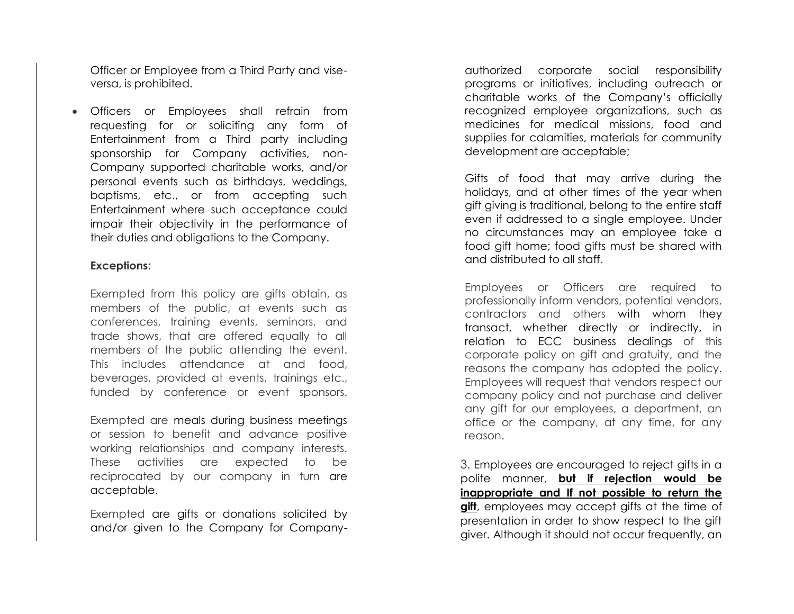Officer or Employee from a Third Party and viseversa, is prohibited.

• Officers or Employees shall refrain from requesting for or soliciting any form of Entertainment from a Third party including sponsorship for Company activities, non-Company supported charitable works, and/or personal events such as birthdays, weddings, baptisms, etc., or from accepting such Entertainment where such acceptance could impair their objectivity in the performance of their duties and obligations to the Company.

#### **Exceptions:**

Exempted from this policy are gifts obtain, as members of the public, at events such as conferences, training events, seminars, and trade shows, that are offered equally to all members of the public attending the event. This includes attendance at and food, beverages, provided at events, trainings etc., funded by conference or event sponsors.

Exempted are meals during business meetings or session to benefit and advance positive working relationships and company interests. These activities are expected to be reciprocated by our company in turn are acceptable.

Exempted are gifts or donations solicited by and/or given to the Company for Company-

authorized corporate social responsibility programs or initiatives, including outreach or charitable works of the Company's officially recognized employee organizations, such as medicines for medical missions, food and supplies for calamities, materials for community development are acceptable;

Gifts of food that may arrive during the holidays, and at other times of the year when gift giving is traditional, belong to the entire staff even if addressed to a single employee. Under no circumstances may an employee take a food gift home; food gifts must be shared with and distributed to all staff.

Employees or Officers are required to professionally inform vendors, potential vendors, contractors and others with whom they transact, whether directly or indirectly, in relation to ECC business dealings of this corporate policy on gift and gratuity, and the reasons the company has adopted the policy. Employees will request that vendors respect our company policy and not purchase and deliver any gift for our employees, a department, an office or the company, at any time, for any reason.

3. Employees are encouraged to reject gifts in a polite manner, **but if rejection would be inappropriate and If not possible to return the gift**, employees may accept gifts at the time of presentation in order to show respect to the gift giver. Although it should not occur frequently, an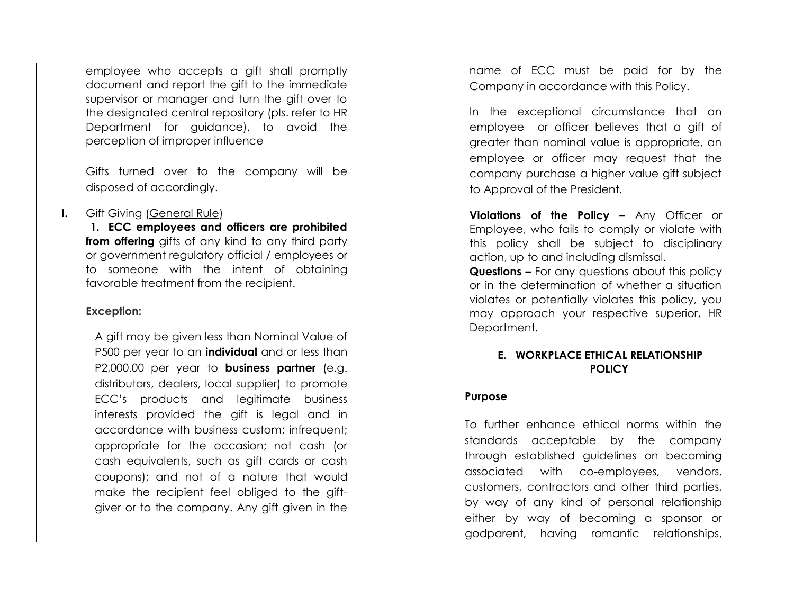employee who accepts a gift shall promptly document and report the gift to the immediate supervisor or manager and turn the gift over to the designated central repository (pls . refer to HR Department for guidance), to avoid the perception of improper influence

Gifts turned over to the company will be disposed of accordingly.

#### **I.** Gift Giving (General Rule)

**1. ECC employees and officers are prohibited from offering** gifts of any kind to any third party or government regulatory official / employees or to someone with the intent of obtaining favorable treatment from the recipient.

#### **Exception:**

A gift may be given less than Nominal Value of P500 per year to an **individual** and or less than P2,000.00 per year to **business partner** (e.g. distributors, dealers, local supplier) to promote ECC's products and legitimate business interests provided the gift is legal and in accordance with business custom; infrequent; appropriate for the occasion; not cash (or cash equivalents, such as gift cards or cash coupons); and not of a nature that would make the recipient feel obliged to the gift giver or to the company. Any gift given in the

name of ECC must be paid for by the Company in accordance with this Policy.

In the exceptional circumstance that an employee or officer believes that a gift of greater than nominal value is appropriate, an employee or officer may request that the company purchase a higher value gift subject to Approval of the President.

**Violations of the Policy –** Any Officer or Employee, who fails to comply or violate with this policy shall be subject to disciplinary action, up to and including dismissal.

**Questions –** For any questions about this policy or in the determination of whether a situation violates or potentially violates this policy, you may approach your respective superior, HR Department.

#### **E. WORKPLACE ETHICAL RELATIONSHIP POLICY**

#### **Purpose**

To further enhance ethical norms within the standards acceptable by the company through established guidelines on becoming associated with co -employees, vendors, customers, contractors and other third parties, by way of any kind of personal relationship either by way of becoming a sponsor or godparent, having romantic relationships,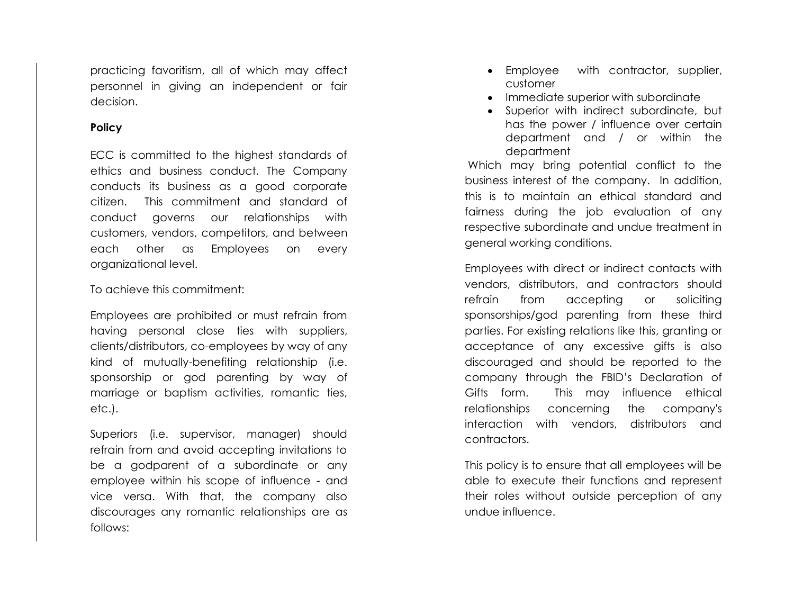practicing favoritism, all of which may affect personnel in giving an independent or fair decision.

#### **Policy**

ECC is committed to the highest standards of ethics and business conduct. The Company conducts its business as a good corporate citizen. This commitment and standard of conduct governs our relationships with customers, vendors, competitors, and between each other as Employees on every organizational level.

To achieve this commitment:

Employees are prohibited or must refrain from having personal close ties with suppliers, clients/distributors, co-employees by way of any kind of mutually-benefiting relationship (i.e. sponsorship or god parenting by way of marriage or baptism activities, romantic ties, etc.).

Superiors (i.e. supervisor, manager) should refrain from and avoid accepting invitations to be a godparent of a subordinate or any employee within his scope of influence - and vice versa. With that, the company also discourages any romantic relationships are as follows:

- Employee with contractor, supplier, customer
- Immediate superior with subordinate
- Superior with indirect subordinate, but has the power / influence over certain department and / or within the department

Which may bring potential conflict to the business interest of the company. In addition, this is to maintain an ethical standard and fairness during the job evaluation of any respective subordinate and undue treatment in general working conditions.

Employees with direct or indirect contacts with vendors, distributors, and contractors should refrain from accepting or soliciting sponsorships/god parenting from these third parties. For existing relations like this, granting or acceptance of any excessive gifts is also discouraged and should be reported to the company through the FBID's Declaration of Gifts form. This may influence ethical relationships concerning the company's interaction with vendors, distributors and contractors.

This policy is to ensure that all employees will be able to execute their functions and represent their roles without outside perception of any undue influence.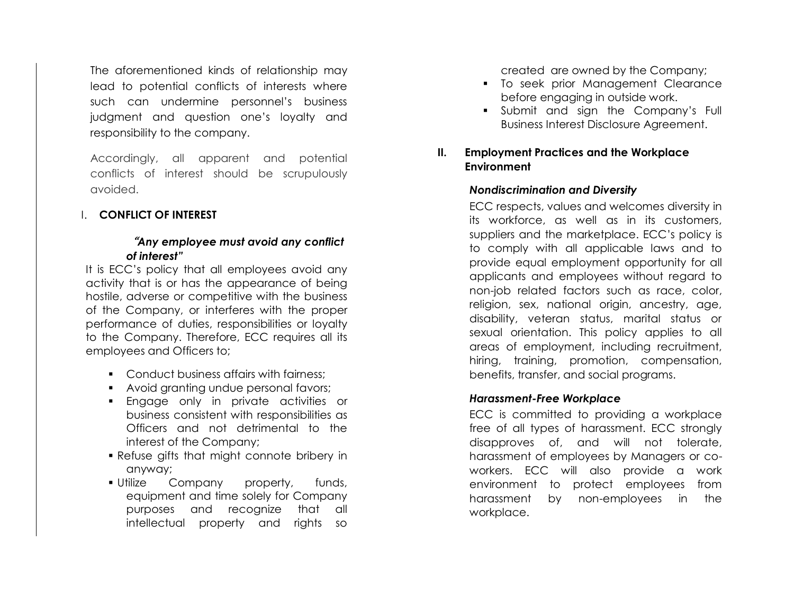The aforementioned kinds of relationship may lead to potential conflicts of interests where such can undermine personnel's business judgment and question one's loyalty and responsibility to the company.

Accordingly, all apparent and potential conflicts of interest should be scrupulously avoided.

# I. **CONFLICT OF INTEREST**

# "*Any employee must avoid any conflict of interest"*

It is ECC's policy that all employees avoid any activity that is or has the appearance of being hostile, adverse or competitive with the business of the Company, or interferes with the proper performance of duties, responsibilities or loyalty to the Company. Therefore, ECC requires all its employees and Officers to;

- Conduct business affairs with fairness:
- Avoid granting undue personal favors;
- Engage only in private activities or business consistent with responsibilities as Officers and not detrimental to the interest of the Company;
- Refuse gifts that might connote bribery in anyway;
- **.** Utilize Company property, funds, equipment and time solely for Company purposes and recognize that all intellectual property and rights so

created are owned by the Company;

- To seek prior Management Clearance before engaging in outside work.
- **•** Submit and sign the Company's Full Business Interest Disclosure Agreement.

# **II. Employment Practices and the Workplace Environment**

# *Nondiscrimination and Diversity*

ECC respects, values and welcomes diversity in its workforce, as well as in its customers, suppliers and the marketplace. ECC's policy is to comply with all applicable laws and to provide equal employment opportunity for all applicants and employees without regard to non-job related factors such as race, color, religion, sex, national origin, ancestry, age, disability, veteran status, marital status or sexual orientation. This policy applies to all areas of employment, including recruitment, hiring, training, promotion, compensation, benefits, transfer, and social programs.

# *Harassment-Free Workplace*

ECC is committed to providing a workplace free of all types of harassment. ECC strongly disapproves of, and will not tolerate, harassment of employees by Managers or coworkers. ECC will also provide a work environment to protect employees from harassment by non-employees in the workplace.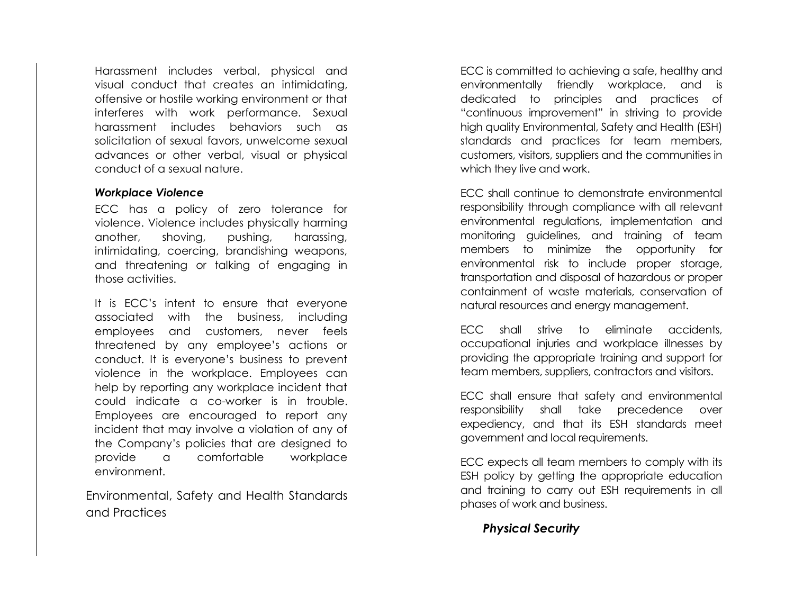Harassment includes verbal, physical and visual conduct that creates an intimidating, offensive or hostile working environment or that interferes with work performance. Sexual harassment includes behaviors such as solicitation of sexual favors, unwelcome sexual advances or other verbal, visual or physical conduct of a sexual nature.

#### *Workplace Violence*

ECC has a policy of zero tolerance for violence. Violence includes physically harming another, shoving, pushing, harassing, intimidating, coercing, brandishing weapons, and threatening or talking of engaging in those activities.

It is ECC's intent to ensure that everyone associated with the business, including employees and customers, never feels threatened by any employee's actions or conduct. It is everyone's business to prevent violence in the workplace. Employees can help by reporting any workplace incident that could indicate a co-worker is in trouble. Employees are encouraged to report any incident that may involve a violation of any of the Company's policies that are designed to provide a comfortable workplace environment.

Environmental, Safety and Health Standards and Practices

ECC is committed to achieving a safe, healthy and environmentally friendly workplace, and is dedicated to principles and practices of "continuous improvement" in striving to provide high quality Environmental, Safety and Health (ESH) standards and practices for team members, customers, visitors, suppliers and the communities in which they live and work.

ECC shall continue to demonstrate environmental responsibility through compliance with all relevant environmental regulations, implementation and monitoring guidelines, and training of team members to minimize the opportunity for environmental risk to include proper storage, transportation and disposal of hazardous or proper containment of waste materials, conservation of natural resources and energy management.

ECC shall strive to eliminate accidents, occupational injuries and workplace illnesses by providing the appropriate training and support for team members, suppliers, contractors and visitors.

ECC shall ensure that safety and environmental responsibility shall take precedence over expediency, and that its ESH standards meet government and local requirements.

ECC expects all team members to comply with its ESH policy by getting the appropriate education and training to carry out ESH requirements in all phases of work and business.

# *Physical Security*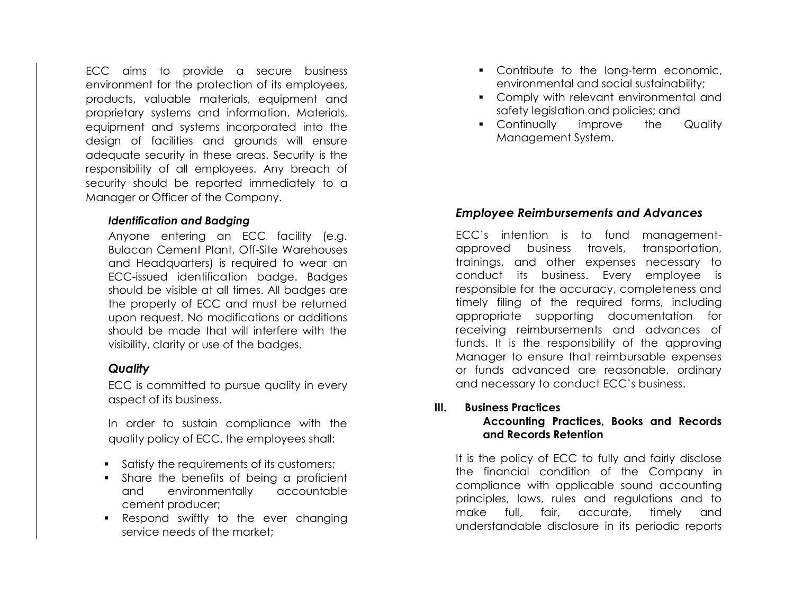ECC aims to provide a secure business environment for the protection of its employees, products, valuable materials, equipment and proprietary systems and information. Materials, equipment and systems incorporated into the design of facilities and grounds will ensure adequate security in these areas. Security is the responsibility of all employees. Any breach of security should be reported immediately to a Manager or Officer of the Company.

#### *Identification and Badging*

Anyone entering an ECC facility (e.g. Bulacan Cement Plant, Off-Site Warehouses and Headquarters) is required to wear an ECC-issued identification badge. Badges should be visible at all times. All badges are the property of ECC and must be returned upon request. No modifications or additions should be made that will interfere with the visibility, clarity or use of the badges.

# *Quality*

ECC is committed to pursue quality in every aspect of its business.

In order to sustain compliance with the quality policy of ECC, the employees shall:

- Satisfy the requirements of its customers;
- Share the benefits of being a proficient and environmentally accountable cement producer;
- Respond swiftly to the ever changing service needs of the market;
- Contribute to the long-term economic, environmental and social sustainability;
- Comply with relevant environmental and safety legislation and policies; and
- Continually improve the Quality Management System.

# *Employee Reimbursements and Advances*

ECC's intention is to fund managementapproved business travels, transportation, trainings, and other expenses necessary to conduct its business. Every employee is responsible for the accuracy, completeness and timely filing of the required forms, including appropriate supporting documentation for receiving reimbursements and advances of funds. It is the responsibility of the approving Manager to ensure that reimbursable expenses or funds advanced are reasonable, ordinary and necessary to conduct ECC's business.

#### **III. Business Practices Accounting Practices, Books and Records and Records Retention**

It is the policy of ECC to fully and fairly disclose the financial condition of the Company in compliance with applicable sound accounting principles, laws, rules and regulations and to make full, fair, accurate, timely and understandable disclosure in its periodic reports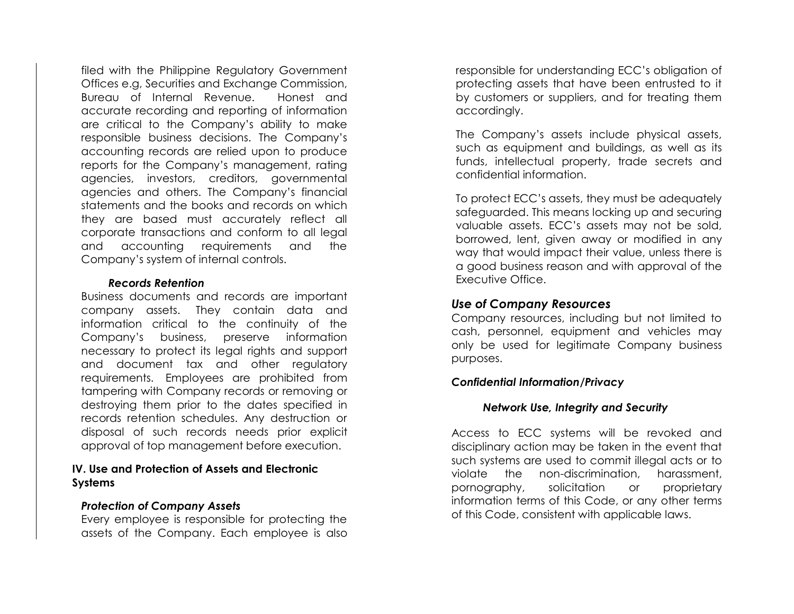filed with the Philippine Regulatory Government Offices e.g, Securities and Exchange Commission, Bureau of Internal Revenue. Honest and accurate recording and reporting of information are critical to the Company's ability to make responsible business decisions. The Company's accounting records are relied upon to produce reports for the Company's management, rating agencies, investors, creditors, governmental agencies and others. The Company's financial statements and the books and records on which they are based must accurately reflect all corporate transactions and conform to all legal and accounting requirements and the Company's system of internal controls.

#### *Records Retention*

Business documents and records are important company assets. They contain data and information critical to the continuity of the Company's business, preserve information necessary to protect its legal rights and support and document tax and other regulatory requirements. Employees are prohibited from tampering with Company records or removing or destroying them prior to the dates specified in records retention schedules. Any destruction or disposal of such records needs prior explicit approval of top management before execution.

#### **IV. Use and Protection of Assets and Electronic Systems**

#### *Protection of Company Assets*

Every employee is responsible for protecting the assets of the Company. Each employee is also responsible for understanding ECC's obligation of protecting assets that have been entrusted to it by customers or suppliers, and for treating them accordingly.

The Company's assets include physical assets, such as equipment and buildings, as well as its funds, intellectual property, trade secrets and confidential information.

To protect ECC's assets, they must be adequately safeguarded. This means locking up and securing valuable assets. ECC's assets may not be sold, borrowed, lent, given away or modified in any way that would impact their value, unless there is a good business reason and with approval of the Executive Office.

#### *Use of Company Resources*

Company resources, including but not limited to cash, personnel, equipment and vehicles may only be used for legitimate Company business purposes.

#### *Confidential Information/Privacy*

#### *Network Use, Integrity and Security*

Access to ECC systems will be revoked and disciplinary action may be taken in the event that such systems are used to commit illegal acts or to violate the non-discrimination, harassment, pornography, solicitation or proprietary information terms of this Code, or any other terms of this Code, consistent with applicable laws.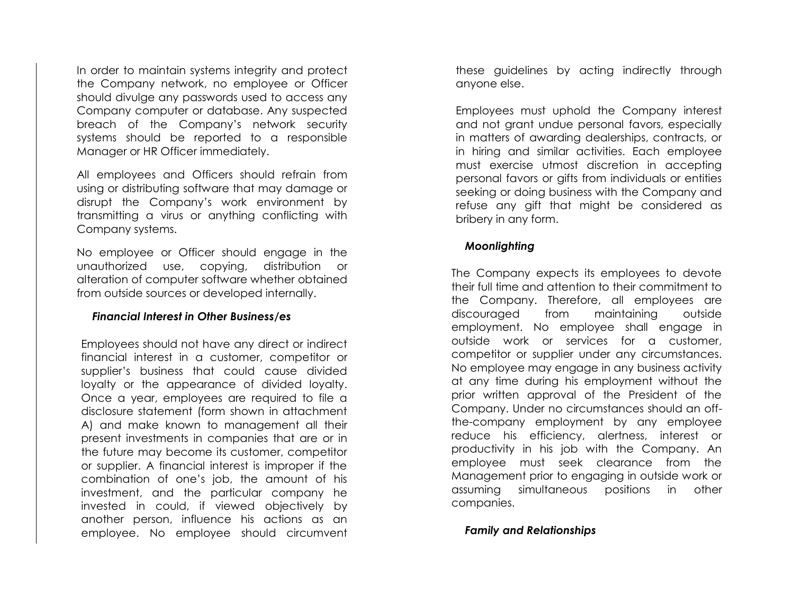In order to maintain systems integrity and protect the Company network, no employee or Officer should divulge any passwords used to access any Company computer or database. Any suspected breach of the Company's network security systems should be reported to a responsible Manager or HR Officer immediately.

All employees and Officers should refrain from using or distributing software that may damage or disrupt the Company's work environment by transmitting a virus or anything conflicting with Company systems.

No employee or Officer should engage in the unauthorized use, copying, distribution or alteration of computer software whether obtained from outside sources or developed internally.

#### *Financial Interest in Other Business/es*

Employees should not have any direct or indirect financial interest in a customer, competitor or supplier's business that could cause divided loyalty or the appearance of divided loyalty. Once a year, employees are required to file a disclosure statement (form shown in attachment A) and make known to management all their present investments in companies that are or in the future may become its customer, competitor or supplier. A financial interest is improper if the combination of one's job, the amount of his investment, and the particular company he invested in could, if viewed objectively by another person, influence his actions as an employee. No employee should circumvent these guidelines by acting indirectly through anyone else.

Employees must uphold the Company interest and not grant undue personal favors, especially in matters of awarding dealerships, contracts, or in hiring and similar activities. Each employee must exercise utmost discretion in accepting personal favors or gifts from individuals or entities seeking or doing business with the Company and refuse any gift that might be considered as bribery in any form.

#### *Moonlighting*

The Company expects its employees to devote their full time and attention to their commitment to the Company. Therefore, all employees are discouraged from maintaining outside employment. No employee shall engage in outside work or services for a customer, competitor or supplier under any circumstances. No employee may engage in any business activity at any time during his employment without the prior written approval of the President of the Company. Under no circumstances should an offthe-company employment by any employee reduce his efficiency, alertness, interest or productivity in his job with the Company. An employee must seek clearance from the Management prior to engaging in outside work or assuming simultaneous positions in other companies.

*Family and Relationships*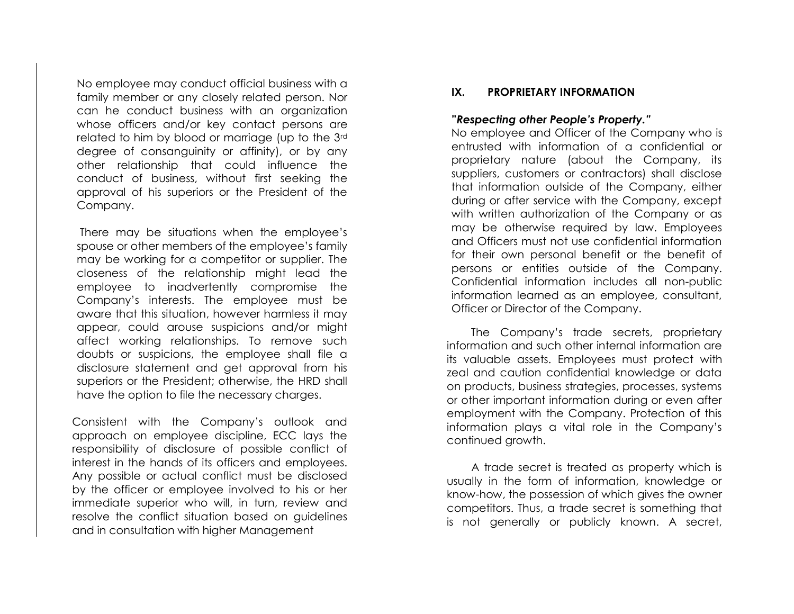No employee may conduct official business with a family member or any closely related person. Nor can he conduct business with an organization whose officers and/or key contact persons are related to him by blood or marriage (up to the 3rd degree of consanguinity or affinity), or by any other relationship that could influence the conduct of business, without first seeking the approval of his superiors or the President of the Company.

There may be situations when the employee's spouse or other members of the employee's family may be working for a competitor or supplier. The closeness of the relationship might lead the employee to inadvertently compromise the Company's interests. The employee must be aware that this situation, however harmless it may appear, could arouse suspicions and/or might affect working relationships. To remove such doubts or suspicions, the employee shall file a disclosure statement and get approval from his superiors or the President; otherwise, the HRD shall have the option to file the necessary charges.

Consistent with the Company's outlook and approach on employee discipline, ECC lays the responsibility of disclosure of possible conflict of interest in the hands of its officers and employees. Any possible or actual conflict must be disclosed by the officer or employee involved to his or her immediate superior who will, in turn, review and resolve the conflict situation based on guidelines and in consultation with higher Management

#### **IX. PROPRIETARY INFORMATION**

#### **"***Respecting other People's Property."*

No employee and Officer of the Company who is entrusted with information of a confidential or proprietary nature (about the Company, its suppliers, customers or contractors) shall disclose that information outside of the Company, either during or after service with the Company, except with written authorization of the Company or as may be otherwise required by law. Employees and Officers must not use confidential information for their own personal benefit or the benefit of persons or entities outside of the Company. Confidential information includes all non-public information learned as an employee, consultant, Officer or Director of the Company.

 The Company's trade secrets, proprietary information and such other internal information are its valuable assets. Employees must protect with zeal and caution confidential knowledge or data on products, business strategies, processes, systems or other important information during or even after employment with the Company. Protection of this information plays a vital role in the Company's continued growth.

 A trade secret is treated as property which is usually in the form of information, knowledge or know-how, the possession of which gives the owner competitors. Thus, a trade secret is something that is not generally or publicly known. A secret,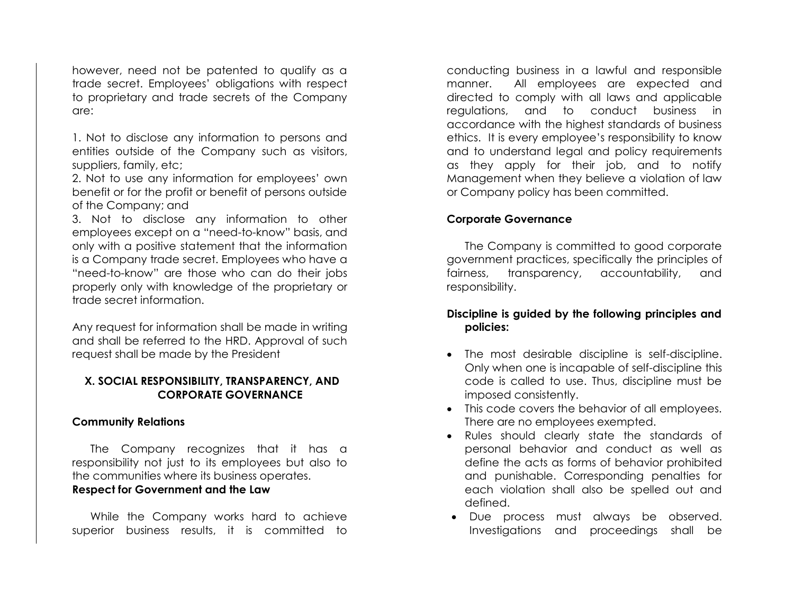however, need not be patented to qualify as a trade secret. Employees' obligations with respect to proprietary and trade secrets of the Company are:

1. Not to disclose any information to persons and entities outside of the Company such as visitors, suppliers, family, etc;

2. Not to use any information for employees' own benefit or for the profit or benefit of persons outside of the Company; and

3. Not to disclose any information to other employees except on a "need-to-know" basis, and only with a positive statement that the information is a Company trade secret. Employees who have a "need-to-know" are those who can do their jobs properly only with knowledge of the proprietary or trade secret information.

Any request for information shall be made in writing and shall be referred to the HRD. Approval of such request shall be made by the President

#### **X. SOCIAL RESPONSIBILITY, TRANSPARENCY, AND CORPORATE GOVERNANCE**

#### **Community Relations**

The Company recognizes that it has a responsibility not just to its employees but also to the communities where its business operates. **Respect for Government and the Law**

While the Company works hard to achieve superior business results, it is committed to

conducting business in a lawful and responsible manner. All employees are expected and directed to comply with all laws and applicable regulations, and to conduct business in accordance with the highest standards of business ethics. It is every employee's responsibility to know and to understand legal and policy requirements as they apply for their job, and to notify Management when they believe a violation of law or Company policy has been committed.

#### **Corporate Governance**

The Company is committed to good corporate government practices, specifically the principles of fairness, transparency, accountability, and responsibility.

#### **Discipline is guided by the following principles and policies:**

- The most desirable discipline is self-discipline. Only when one is incapable of self-discipline this code is called to use. Thus, discipline must be imposed consistently.
- This code covers the behavior of all employees. There are no employees exempted.
- Rules should clearly state the standards of personal behavior and conduct as well as define the acts as forms of behavior prohibited and punishable. Corresponding penalties for each violation shall also be spelled out and defined.
- Due process must always be observed. Investigations and proceedings shall be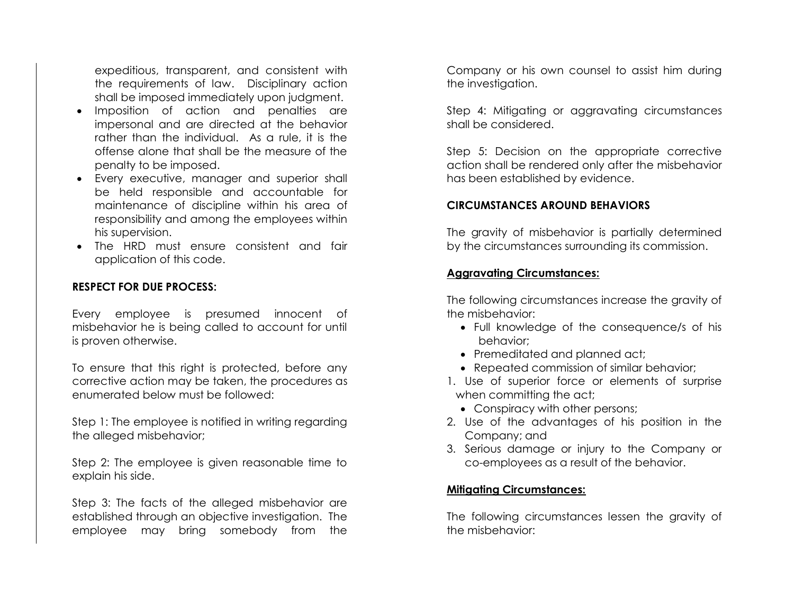expeditious, transparent, and consistent with the requirements of law. Disciplinary action shall be imposed immediately upon judgment.

- Imposition of action and penalties are impersonal and are directed at the behavior rather than the individual. As a rule, it is the offense alone that shall be the measure of the penalty to be imposed.
- Every executive, manager and superior shall be held responsible and accountable for maintenance of discipline within his area of responsibility and among the employees within his supervision.
- The HRD must ensure consistent and fair application of this code.

#### **RESPECT FOR DUE PROCESS:**

Every employee is presumed innocent of misbehavior he is being called to account for until is proven otherwise.

To ensure that this right is protected, before any corrective action may be taken, the procedures as enumerated below must be followed:

Step 1: The employee is notified in writing regarding the alleged misbehavior;

Step 2: The employee is given reasonable time to explain his side.

Step 3: The facts of the alleged misbehavior are established through an objective investigation. The employee may bring somebody from the

Company or his own counsel to assist him during the investigation.

Step 4: Mitigating or aggravating circumstances shall be considered.

Step 5: Decision on the appropriate corrective action shall be rendered only after the misbehavior has been established by evidence.

#### **CIRCUMSTANCES AROUND BEHAVIORS**

The gravity of misbehavior is partially determined by the circumstances surrounding its commission.

#### **Aggravating Circumstances:**

The following circumstances increase the gravity of the misbehavior:

- Full knowledge of the consequence/s of his behavior;
- Premeditated and planned act;
- Repeated commission of similar behavior;
- 1. Use of superior force or elements of surprise when committing the act;
	- Conspiracy with other persons;
- 2. Use of the advantages of his position in the Company; and
- 3. Serious damage or injury to the Company or co-employees as a result of the behavior.

#### **Mitigating Circumstances:**

The following circumstances lessen the gravity of the misbehavior: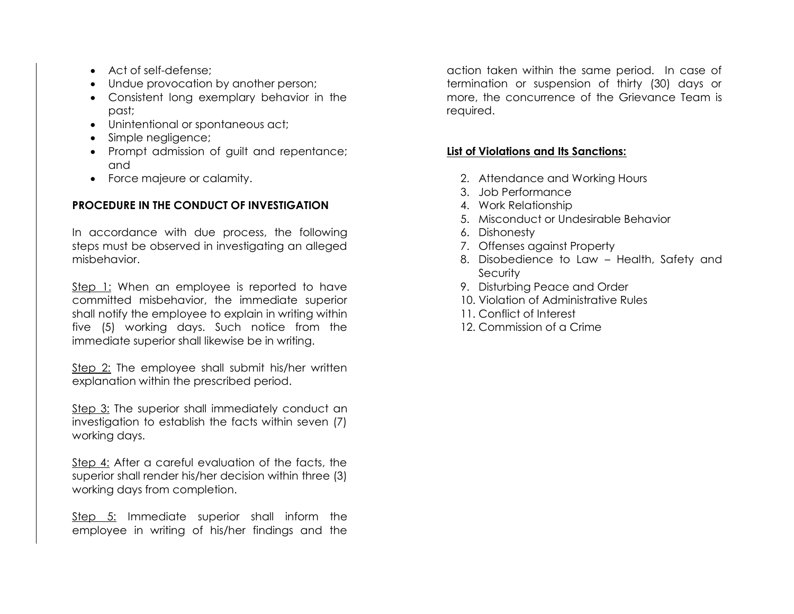- Act of self-defense;
- Undue provocation by another person;
- Consistent long exemplary behavior in the past;
- Unintentional or spontaneous act;
- Simple negligence;
- Prompt admission of guilt and repentance; and
- Force majeure or calamity.

# **PROCEDURE IN THE CONDUCT OF INVESTIGATION**

In accordance with due process, the following steps must be observed in investigating an alleged misbehavior.

Step 1: When an employee is reported to have committed misbehavior, the immediate superior shall notify the employee to explain in writing within five (5) working days. Such notice from the immediate superior shall likewise be in writing.

Step 2: The employee shall submit his/her written explanation within the prescribed period.

Step 3: The superior shall immediately conduct an investigation to establish the facts within seven (7) working days.

Step 4: After a careful evaluation of the facts, the superior shall render his/her decision within three (3) working days from completion.

Step 5: Immediate superior shall inform the employee in writing of his/her findings and the

action taken within the same period. In case of termination or suspension of thirty (30) days or more, the concurrence of the Grievance Team is required.

# **List of Violations and Its Sanctions:**

- 2. Attendance and Working Hours
- 3. Job Performance
- 4. Work Relationship
- 5. Misconduct or Undesirable Behavior
- 6. Dishonesty
- 7. Offenses against Property
- 8. Disobedience to Law Health, Safety and **Security**
- 9. Disturbing Peace and Order
- 10. Violation of Administrative Rules
- 11. Conflict of Interest
- 12. Commission of a Crime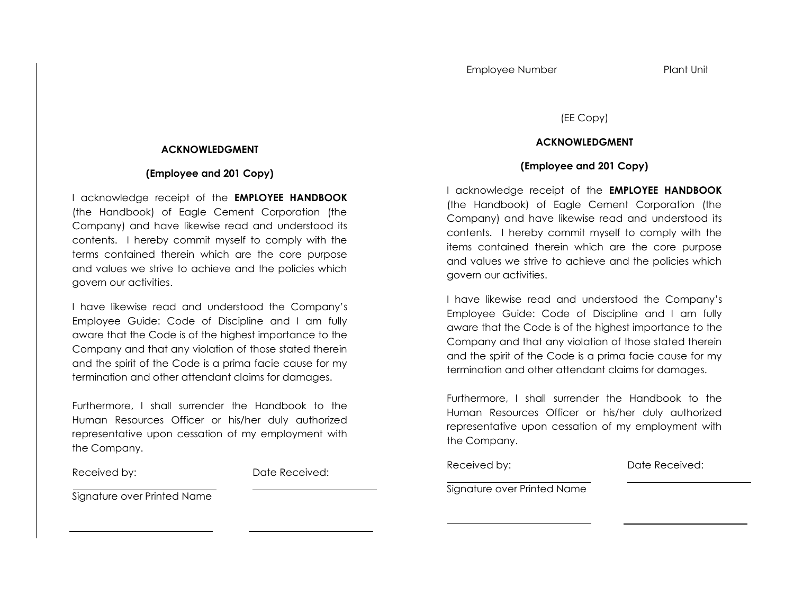#### (EE Copy)

#### **ACKNOWLEDGMENT**

#### **(Employee and 201 Copy)**

I acknowledge receipt of the **EMPLOYEE HANDBOOK** (the Handbook) of Eagle Cement Corporation (the Company) and have likewise read and understood its contents. I hereby commit myself to comply with the items contained therein which are the core purpose and values we strive to achieve and the policies which govern our activities.

I have likewise read and understood the Company's Employee Guide: Code of Discipline and I am fully aware that the Code is of the highest importance to the Company and that any violation of those stated therein and the spirit of the Code is a prima facie cause for my termination and other attendant claims for damages.

Furthermore, I shall surrender the Handbook to the Human Resources Officer or his/her duly authorized representative upon cessation of my employment with the Company.

Received by: Date Received:

Signature over Printed Name

#### **ACKNOWLEDGMENT**

#### **(Employee and 201 Copy)**

I acknowledge receipt of the **EMPLOYEE HANDBOOK** (the Handbook) of Eagle Cement Corporation (the Company) and have likewise read and understood its contents. I hereby commit myself to comply with the terms contained therein which are the core purpose and values we strive to achieve and the policies which govern our activities.

I have likewise read and understood the Company's Employee Guide: Code of Discipline and I am fully aware that the Code is of the highest importance to the Company and that any violation of those stated therein and the spirit of the Code is a prima facie cause for my termination and other attendant claims for damages.

Furthermore, I shall surrender the Handbook to the Human Resources Officer or his/her duly authorized representative upon cessation of my employment with the Company.

Received by: Date Received:

Signature over Printed Name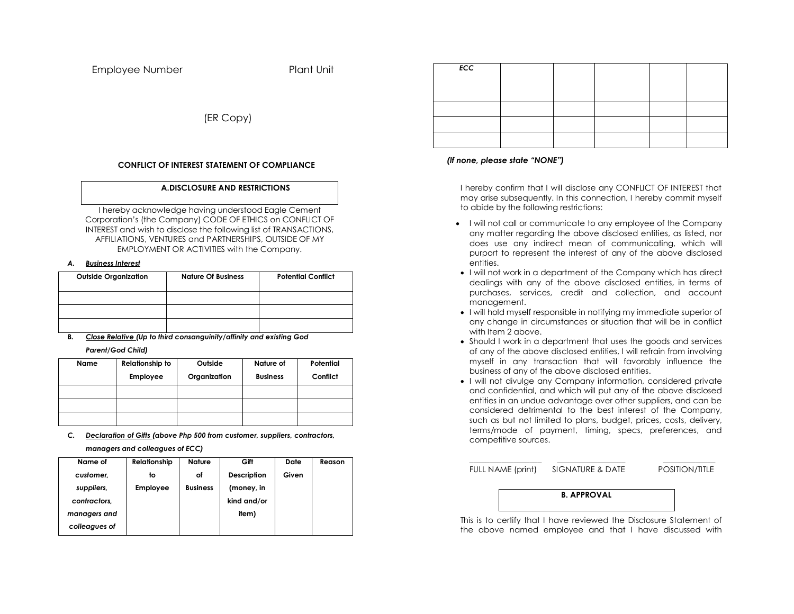Employee Number Plant Unit

(ER Copy)

#### **CONFLICT OF INTEREST STATEMENT OF COMPLIANCE**

#### **A.DISCLOSURE AND RESTRICTIONS**

I hereby acknowledge having understood Eagle Cement Corporation's (the Company) CODE OF ETHICS on CONFLICT OF INTEREST and wish to disclose the following list of TRANSACTIONS, AFFILIATIONS, VENTURES and PARTNERSHIPS, OUTSIDE OF MY EMPLOYMENT OR ACTIVITIES with the Company.

#### *A. Business Interest*

| <b>Outside Organization</b> | <b>Nature Of Business</b> | <b>Potential Conflict</b> |
|-----------------------------|---------------------------|---------------------------|
|                             |                           |                           |
|                             |                           |                           |
|                             |                           |                           |

*B. Close Relative (Up to third consanguinity/affinity and existing God Parent/God Child)*

| Name | <b>Relationship to</b> | Outside      | Nature of       | Potential |
|------|------------------------|--------------|-----------------|-----------|
|      | <b>Employee</b>        | Organization | <b>Business</b> | Conflict  |
|      |                        |              |                 |           |
|      |                        |              |                 |           |
|      |                        |              |                 |           |

*C. Declaration of Gifts (above Php 500 from customer, suppliers, contractors, managers and colleagues of ECC)*

| Name of       | Relationship    | <b>Nature</b>   | Gift        | Date  | Reason |
|---------------|-----------------|-----------------|-------------|-------|--------|
| customer.     | to              | οf              | Description | Given |        |
| suppliers,    | <b>Employee</b> | <b>Business</b> | (money, in  |       |        |
| contractors.  |                 |                 | kind and/or |       |        |
| managers and  |                 |                 | item)       |       |        |
| colleagues of |                 |                 |             |       |        |
|               |                 |                 |             |       |        |

| <b>ECC</b> |  |  |  |
|------------|--|--|--|
|            |  |  |  |
|            |  |  |  |
|            |  |  |  |
|            |  |  |  |
|            |  |  |  |

#### *(If none, please state "NONE")*

I hereby confirm that I will disclose any CONFLICT OF INTEREST that may arise subsequently. In this connection, I hereby commit myself to abide by the following restrictions:

- I will not call or communicate to any employee of the Company any matter regarding the above disclosed entities, as listed, nor does use any indirect mean of communicating, which will purport to represent the interest of any of the above disclosed entities.
- I will not work in a department of the Company which has direct dealings with any of the above disclosed entities, in terms of purchases, services, credit and collection, and account management.
- I will hold myself responsible in notifying my immediate superior of any change in circumstances or situation that will be in conflict with Item 2 above.
- Should I work in a department that uses the goods and services of any of the above disclosed entities, I will refrain from involving myself in any transaction that will favorably influence the business of any of the above disclosed entities.
- I will not divulge any Company information, considered private and confidential, and which will put any of the above disclosed entities in an undue advantage over other suppliers, and can be considered detrimental to the best interest of the Company, such as but not limited to plans, budget, prices, costs, delivery, terms/mode of payment, timing, specs, preferences, and competitive sources.

\_\_\_\_\_\_\_\_\_\_\_\_\_\_\_\_\_\_ \_\_\_\_\_\_\_\_\_\_\_\_\_\_\_\_\_ \_\_\_\_\_\_\_\_\_\_\_\_\_ FULL NAME (print) SIGNATURE & DATE POSITION/TITLE

**B. APPROVAL**

This is to certify that I have reviewed the Disclosure Statement of the above named employee and that I have discussed with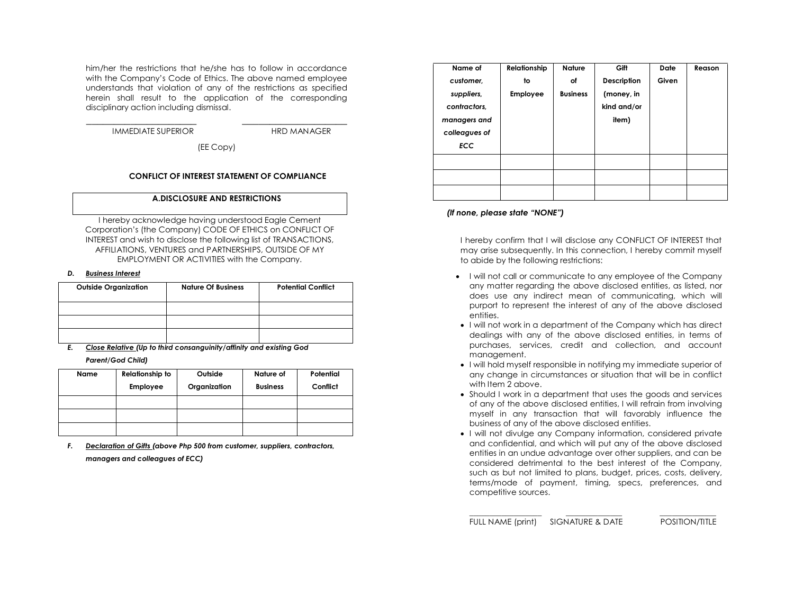him/her the restrictions that he/she has to follow in accordance with the Company's Code of Ethics. The above named employee understands that violation of any of the restrictions as specified herein shall result to the application of the corresponding disciplinary action including dismissal.

IMMEDIATE SUPERIOR HRD MANAGER

\_\_\_\_\_\_\_\_\_\_\_\_\_\_\_\_\_\_\_\_ \_\_\_\_\_\_\_\_\_\_\_\_\_\_\_\_\_\_\_

(EE Copy)

#### **CONFLICT OF INTEREST STATEMENT OF COMPLIANCE**

#### **A.DISCLOSURE AND RESTRICTIONS**

I hereby acknowledge having understood Eagle Cement Corporation's (the Company) CODE OF ETHICS on CONFLICT OF INTEREST and wish to disclose the following list of TRANSACTIONS, AFFILIATIONS, VENTURES and PARTNERSHIPS, OUTSIDE OF MY EMPLOYMENT OR ACTIVITIES with the Company.

#### *D. Business Interest*

| <b>Outside Organization</b> | <b>Nature Of Business</b> | <b>Potential Conflict</b> |
|-----------------------------|---------------------------|---------------------------|
|                             |                           |                           |
|                             |                           |                           |
|                             |                           |                           |

*E. Close Relative (Up to third consanguinity/affinity and existing God Parent/God Child)*

| Name | <b>Relationship to</b> | Outside      | Nature of       | Potential |
|------|------------------------|--------------|-----------------|-----------|
|      | <b>Employee</b>        | Organization | <b>Business</b> | Conflict  |
|      |                        |              |                 |           |
|      |                        |              |                 |           |
|      |                        |              |                 |           |

*F. Declaration of Gifts (above Php 500 from customer, suppliers, contractors, managers and colleagues of ECC)*

| Name of       | Relationship    | <b>Nature</b>   | Gift        | <b>Date</b> | Reason |
|---------------|-----------------|-----------------|-------------|-------------|--------|
| customer,     | to              | оf              | Description | Given       |        |
| suppliers,    | <b>Employee</b> | <b>Business</b> | (money, in  |             |        |
| contractors,  |                 |                 | kind and/or |             |        |
| managers and  |                 |                 | item)       |             |        |
| colleagues of |                 |                 |             |             |        |
| <b>ECC</b>    |                 |                 |             |             |        |
|               |                 |                 |             |             |        |
|               |                 |                 |             |             |        |
|               |                 |                 |             |             |        |

#### *(If none, please state "NONE")*

I hereby confirm that I will disclose any CONFLICT OF INTEREST that may arise subsequently. In this connection, I hereby commit myself to abide by the following restrictions:

- I will not call or communicate to any employee of the Company any matter regarding the above disclosed entities, as listed, nor does use any indirect mean of communicating, which will purport to represent the interest of any of the above disclosed entities.
- I will not work in a department of the Company which has direct dealings with any of the above disclosed entities, in terms of purchases, services, credit and collection, and account management.
- I will hold myself responsible in notifying my immediate superior of any change in circumstances or situation that will be in conflict with Item 2 above.
- Should I work in a department that uses the goods and services of any of the above disclosed entities, I will refrain from involving myself in any transaction that will favorably influence the business of any of the above disclosed entities.
- I will not divulge any Company information, considered private and confidential, and which will put any of the above disclosed entities in an undue advantage over other suppliers, and can be considered detrimental to the best interest of the Company, such as but not limited to plans, budget, prices, costs, delivery, terms/mode of payment, timing, specs, preferences, and competitive sources.

\_\_\_\_\_\_\_\_\_\_\_\_\_\_\_\_\_\_ \_\_\_\_\_\_\_\_\_\_\_\_\_\_ \_\_\_\_\_\_\_\_\_\_\_\_\_\_ FULL NAME (print) SIGNATURE & DATE POSITION/TITLE